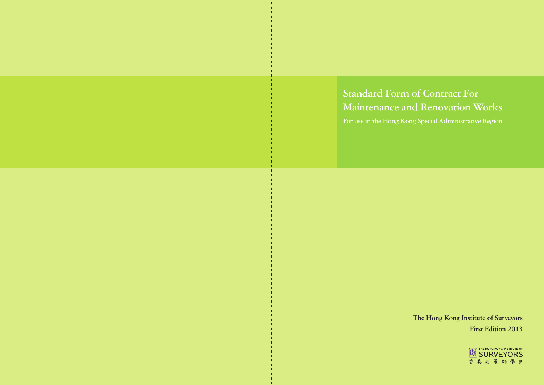# **The Hong Kong Institute of Surveyors First Edition 2013**

**Maintenance and Renovation Works**



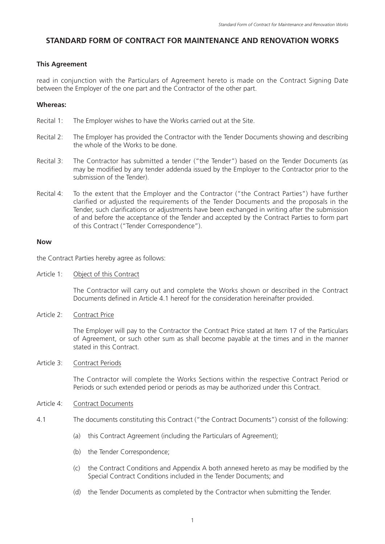## **STANDARD FORM OF CONTRACT FOR MAINTENANCE AND RENOVATION WORKS**

### **This Agreement**

read in conjunction with the Particulars of Agreement hereto is made on the Contract Signing Date between the Employer of the one part and the Contractor of the other part.

### **Whereas:**

- Recital 1: The Employer wishes to have the Works carried out at the Site.
- Recital 2: The Employer has provided the Contractor with the Tender Documents showing and describing the whole of the Works to be done.
- Recital 3: The Contractor has submitted a tender ("the Tender") based on the Tender Documents (as may be modified by any tender addenda issued by the Employer to the Contractor prior to the submission of the Tender).
- Recital 4: To the extent that the Employer and the Contractor ("the Contract Parties") have further clarified or adjusted the requirements of the Tender Documents and the proposals in the Tender, such clarifications or adjustments have been exchanged in writing after the submission of and before the acceptance of the Tender and accepted by the Contract Parties to form part of this Contract ("Tender Correspondence").

### **Now**

the Contract Parties hereby agree as follows:

Article 1: Object of this Contract

The Contractor will carry out and complete the Works shown or described in the Contract Documents defined in Article 4.1 hereof for the consideration hereinafter provided.

Article 2: Contract Price

The Employer will pay to the Contractor the Contract Price stated at Item 17 of the Particulars of Agreement, or such other sum as shall become payable at the times and in the manner stated in this Contract.

### Article 3: Contract Periods

The Contractor will complete the Works Sections within the respective Contract Period or Periods or such extended period or periods as may be authorized under this Contract.

### Article 4: Contract Documents

- 4.1 The documents constituting this Contract ("the Contract Documents") consist of the following:
	- (a) this Contract Agreement (including the Particulars of Agreement);
	- (b) the Tender Correspondence;
	- (c) the Contract Conditions and Appendix A both annexed hereto as may be modified by the Special Contract Conditions included in the Tender Documents; and
	- (d) the Tender Documents as completed by the Contractor when submitting the Tender.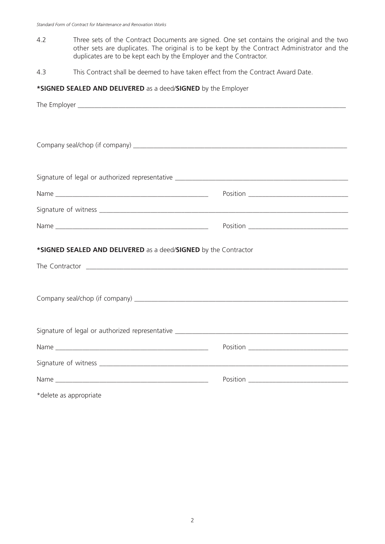- 4.2 Three sets of the Contract Documents are signed. One set contains the original and the two other sets are duplicates. The original is to be kept by the Contract Administrator and the duplicates are to be kept each by the Employer and the Contractor.
- 4.3 This Contract shall be deemed to have taken effect from the Contract Award Date.

### **\*SIGNED SEALED AND DELIVERED** as a deed/**SIGNED** by the Employer

| *SIGNED SEALED AND DELIVERED as a deed/SIGNED by the Contractor |  |
|-----------------------------------------------------------------|--|
|                                                                 |  |
|                                                                 |  |
|                                                                 |  |
|                                                                 |  |
|                                                                 |  |
|                                                                 |  |
|                                                                 |  |
|                                                                 |  |
|                                                                 |  |

\*delete as appropriate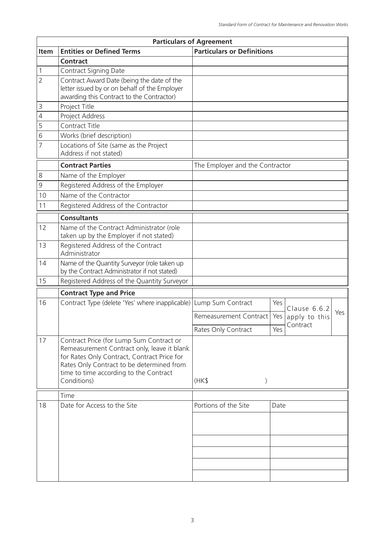|                | <b>Particulars of Agreement</b>                                                                                                                                                                                                              |                                   |      |               |     |
|----------------|----------------------------------------------------------------------------------------------------------------------------------------------------------------------------------------------------------------------------------------------|-----------------------------------|------|---------------|-----|
| Item           | <b>Entities or Defined Terms</b>                                                                                                                                                                                                             | <b>Particulars or Definitions</b> |      |               |     |
|                | <b>Contract</b>                                                                                                                                                                                                                              |                                   |      |               |     |
| 1              | <b>Contract Signing Date</b>                                                                                                                                                                                                                 |                                   |      |               |     |
| $\overline{2}$ | Contract Award Date (being the date of the<br>letter issued by or on behalf of the Employer<br>awarding this Contract to the Contractor)                                                                                                     |                                   |      |               |     |
| $\mathsf{3}$   | Project Title                                                                                                                                                                                                                                |                                   |      |               |     |
| $\sqrt{4}$     | Project Address                                                                                                                                                                                                                              |                                   |      |               |     |
| 5              | Contract Title                                                                                                                                                                                                                               |                                   |      |               |     |
| 6              | Works (brief description)                                                                                                                                                                                                                    |                                   |      |               |     |
| $\overline{7}$ | Locations of Site (same as the Project<br>Address if not stated)                                                                                                                                                                             |                                   |      |               |     |
|                | <b>Contract Parties</b>                                                                                                                                                                                                                      | The Employer and the Contractor   |      |               |     |
| $\,8\,$        | Name of the Employer                                                                                                                                                                                                                         |                                   |      |               |     |
| 9              | Registered Address of the Employer                                                                                                                                                                                                           |                                   |      |               |     |
| 10             | Name of the Contractor                                                                                                                                                                                                                       |                                   |      |               |     |
| 11             | Registered Address of the Contractor                                                                                                                                                                                                         |                                   |      |               |     |
|                | <b>Consultants</b>                                                                                                                                                                                                                           |                                   |      |               |     |
| 12             | Name of the Contract Administrator (role<br>taken up by the Employer if not stated)                                                                                                                                                          |                                   |      |               |     |
| 13             | Registered Address of the Contract<br>Administrator                                                                                                                                                                                          |                                   |      |               |     |
| 14             | Name of the Quantity Surveyor (role taken up<br>by the Contract Administrator if not stated)                                                                                                                                                 |                                   |      |               |     |
| 15             | Registered Address of the Quantity Surveyor                                                                                                                                                                                                  |                                   |      |               |     |
|                | <b>Contract Type and Price</b>                                                                                                                                                                                                               |                                   |      |               |     |
| 16             | Contract Type (delete 'Yes' where inapplicable)                                                                                                                                                                                              | Lump Sum Contract                 | Yes  | Clause 6.6.2  |     |
|                |                                                                                                                                                                                                                                              | Remeasurement Contract            | Yes  | apply to this | Yes |
|                |                                                                                                                                                                                                                                              | Rates Only Contract               | Yes  | Contract      |     |
| 17             | Contract Price (for Lump Sum Contract or<br>Remeasurement Contract only, leave it blank<br>for Rates Only Contract, Contract Price for<br>Rates Only Contract to be determined from<br>time to time according to the Contract<br>Conditions) | (HK\$<br>$\mathcal{E}$            |      |               |     |
|                | Time                                                                                                                                                                                                                                         |                                   |      |               |     |
| 18             | Date for Access to the Site                                                                                                                                                                                                                  | Portions of the Site              | Date |               |     |
|                |                                                                                                                                                                                                                                              |                                   |      |               |     |
|                |                                                                                                                                                                                                                                              |                                   |      |               |     |
|                |                                                                                                                                                                                                                                              |                                   |      |               |     |
|                |                                                                                                                                                                                                                                              |                                   |      |               |     |
|                |                                                                                                                                                                                                                                              |                                   |      |               |     |
|                |                                                                                                                                                                                                                                              |                                   |      |               |     |
|                |                                                                                                                                                                                                                                              |                                   |      |               |     |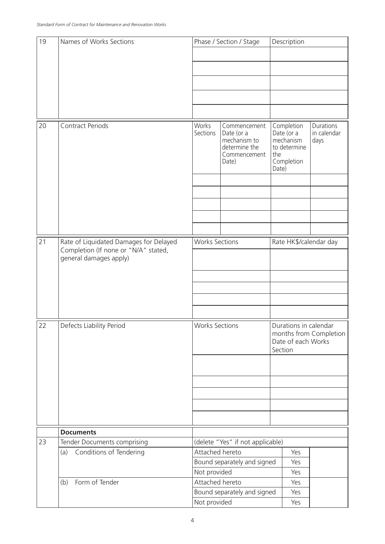| 19 | Names of Works Sections                                                                                  |                       | Phase / Section / Stage                                                              | Description                                                                      |                                                       |                                  |  |
|----|----------------------------------------------------------------------------------------------------------|-----------------------|--------------------------------------------------------------------------------------|----------------------------------------------------------------------------------|-------------------------------------------------------|----------------------------------|--|
|    |                                                                                                          |                       |                                                                                      |                                                                                  |                                                       |                                  |  |
|    |                                                                                                          |                       |                                                                                      |                                                                                  |                                                       |                                  |  |
|    |                                                                                                          |                       |                                                                                      |                                                                                  |                                                       |                                  |  |
|    |                                                                                                          |                       |                                                                                      |                                                                                  |                                                       |                                  |  |
|    |                                                                                                          |                       |                                                                                      |                                                                                  |                                                       |                                  |  |
|    |                                                                                                          |                       |                                                                                      |                                                                                  |                                                       |                                  |  |
|    |                                                                                                          |                       |                                                                                      |                                                                                  |                                                       |                                  |  |
| 20 | <b>Contract Periods</b>                                                                                  | Works<br>Sections     | Commencement<br>Date (or a<br>mechanism to<br>determine the<br>Commencement<br>Date) | Date (or a<br>the<br>Date)                                                       | Completion<br>mechanism<br>to determine<br>Completion | Durations<br>in calendar<br>days |  |
|    |                                                                                                          |                       |                                                                                      |                                                                                  |                                                       |                                  |  |
|    |                                                                                                          |                       |                                                                                      |                                                                                  |                                                       |                                  |  |
|    |                                                                                                          |                       |                                                                                      |                                                                                  |                                                       |                                  |  |
|    |                                                                                                          |                       |                                                                                      |                                                                                  |                                                       |                                  |  |
|    |                                                                                                          |                       |                                                                                      |                                                                                  |                                                       |                                  |  |
| 21 |                                                                                                          |                       |                                                                                      |                                                                                  |                                                       |                                  |  |
|    | Rate of Liquidated Damages for Delayed<br>Completion (If none or "N/A" stated,<br>general damages apply) |                       | <b>Works Sections</b>                                                                |                                                                                  | Rate HK\$/calendar day                                |                                  |  |
|    |                                                                                                          |                       |                                                                                      |                                                                                  |                                                       |                                  |  |
|    |                                                                                                          |                       |                                                                                      |                                                                                  |                                                       |                                  |  |
|    |                                                                                                          |                       |                                                                                      |                                                                                  |                                                       |                                  |  |
|    |                                                                                                          |                       |                                                                                      |                                                                                  |                                                       |                                  |  |
|    |                                                                                                          |                       |                                                                                      |                                                                                  |                                                       |                                  |  |
| 22 | Defects Liability Period                                                                                 | <b>Works Sections</b> |                                                                                      |                                                                                  |                                                       |                                  |  |
|    |                                                                                                          |                       |                                                                                      | Durations in calendar<br>months from Completion<br>Date of each Works<br>Section |                                                       |                                  |  |
|    |                                                                                                          |                       |                                                                                      |                                                                                  |                                                       |                                  |  |
|    |                                                                                                          |                       |                                                                                      |                                                                                  |                                                       |                                  |  |
|    |                                                                                                          |                       |                                                                                      |                                                                                  |                                                       |                                  |  |
|    |                                                                                                          |                       |                                                                                      |                                                                                  |                                                       |                                  |  |
|    |                                                                                                          |                       |                                                                                      |                                                                                  |                                                       |                                  |  |
|    |                                                                                                          |                       |                                                                                      |                                                                                  |                                                       |                                  |  |
| 23 | <b>Documents</b>                                                                                         |                       |                                                                                      |                                                                                  |                                                       |                                  |  |
|    | Tender Documents comprising<br>Conditions of Tendering<br>(a)                                            | Attached hereto       | (delete "Yes" if not applicable)                                                     |                                                                                  | Yes                                                   |                                  |  |
|    |                                                                                                          |                       | Bound separately and signed                                                          |                                                                                  | Yes                                                   |                                  |  |
|    |                                                                                                          | Not provided          |                                                                                      |                                                                                  | Yes                                                   |                                  |  |
|    | Form of Tender<br>(b)                                                                                    | Attached hereto       |                                                                                      |                                                                                  | Yes                                                   |                                  |  |
|    |                                                                                                          |                       | Bound separately and signed                                                          |                                                                                  | Yes                                                   |                                  |  |
|    |                                                                                                          | Not provided          |                                                                                      |                                                                                  | Yes                                                   |                                  |  |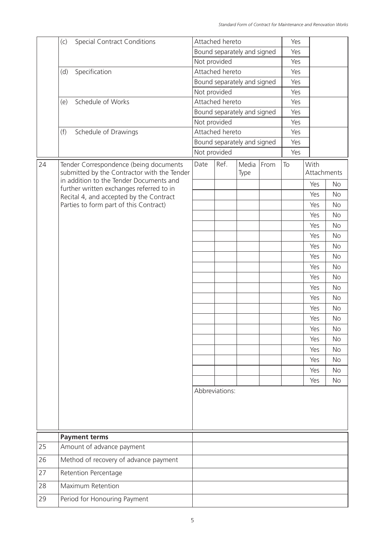|    | <b>Special Contract Conditions</b><br>(c)                                             |      | Attached hereto             |               |      | Yes |                     |           |
|----|---------------------------------------------------------------------------------------|------|-----------------------------|---------------|------|-----|---------------------|-----------|
|    |                                                                                       |      | Bound separately and signed |               |      | Yes |                     |           |
|    |                                                                                       |      | Not provided                |               |      | Yes |                     |           |
|    | Specification<br>(d)                                                                  |      | Attached hereto             |               |      | Yes |                     |           |
|    |                                                                                       |      | Bound separately and signed |               |      | Yes |                     |           |
|    |                                                                                       |      | Not provided                |               |      | Yes |                     |           |
|    | Schedule of Works<br>(e)                                                              |      | Attached hereto             |               |      | Yes |                     |           |
|    |                                                                                       |      | Bound separately and signed |               |      | Yes |                     |           |
|    |                                                                                       |      | Not provided                |               |      | Yes |                     |           |
|    | (f)<br>Schedule of Drawings                                                           |      | Attached hereto             |               |      | Yes |                     |           |
|    |                                                                                       |      | Bound separately and signed |               |      | Yes |                     |           |
|    |                                                                                       |      | Not provided                |               |      | Yes |                     |           |
| 24 | Tender Correspondence (being documents<br>submitted by the Contractor with the Tender | Date | Ref.                        | Media<br>Type | From | To  | With<br>Attachments |           |
|    | in addition to the Tender Documents and<br>further written exchanges referred to in   |      |                             |               |      |     | Yes                 | <b>No</b> |
|    | Recital 4, and accepted by the Contract                                               |      |                             |               |      |     | Yes                 | <b>No</b> |
|    | Parties to form part of this Contract)                                                |      |                             |               |      |     | Yes                 | <b>No</b> |
|    |                                                                                       |      |                             |               |      |     | Yes                 | <b>No</b> |
|    |                                                                                       |      |                             |               |      |     | Yes                 | <b>No</b> |
|    |                                                                                       |      |                             |               |      |     | Yes                 | <b>No</b> |
|    |                                                                                       |      |                             |               |      |     | Yes                 | <b>No</b> |
|    |                                                                                       |      |                             |               |      |     | Yes                 | <b>No</b> |
|    |                                                                                       |      |                             |               |      |     | Yes                 | <b>No</b> |
|    |                                                                                       |      |                             |               |      |     | Yes                 | <b>No</b> |
|    |                                                                                       |      |                             |               |      |     | Yes                 | <b>No</b> |
|    |                                                                                       |      |                             |               |      |     | Yes                 | <b>No</b> |
|    |                                                                                       |      |                             |               |      |     | Yes                 | <b>No</b> |
|    |                                                                                       |      |                             |               |      |     | Yes                 | <b>No</b> |
|    |                                                                                       |      |                             |               |      |     | Yes                 | <b>No</b> |
|    |                                                                                       |      |                             |               |      |     | Yes                 | <b>No</b> |
|    |                                                                                       |      |                             |               |      |     | Yes                 | <b>No</b> |
|    |                                                                                       |      |                             |               |      |     | Yes                 | <b>No</b> |
|    |                                                                                       |      |                             |               |      |     | Yes                 | <b>No</b> |
|    |                                                                                       |      |                             |               |      |     | Yes                 | <b>No</b> |
|    |                                                                                       |      | Abbreviations:              |               |      |     |                     |           |
|    | <b>Payment terms</b>                                                                  |      |                             |               |      |     |                     |           |
| 25 | Amount of advance payment                                                             |      |                             |               |      |     |                     |           |
| 26 | Method of recovery of advance payment                                                 |      |                             |               |      |     |                     |           |
| 27 | Retention Percentage                                                                  |      |                             |               |      |     |                     |           |
| 28 | Maximum Retention                                                                     |      |                             |               |      |     |                     |           |
| 29 | Period for Honouring Payment                                                          |      |                             |               |      |     |                     |           |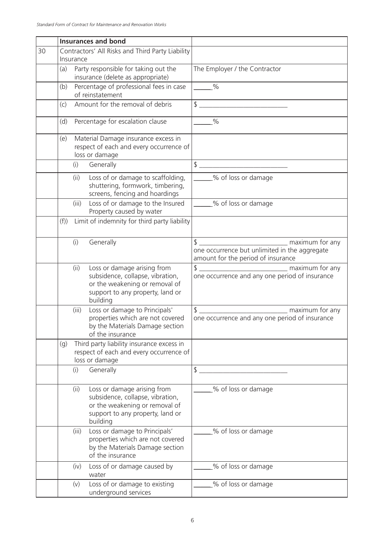|    |           | <b>Insurances and bond</b>                                                                                                                        |                                                                                                                                       |
|----|-----------|---------------------------------------------------------------------------------------------------------------------------------------------------|---------------------------------------------------------------------------------------------------------------------------------------|
| 30 | Insurance | Contractors' All Risks and Third Party Liability                                                                                                  |                                                                                                                                       |
|    | (a)       | Party responsible for taking out the<br>insurance (delete as appropriate)                                                                         | The Employer / the Contractor                                                                                                         |
|    | (b)       | Percentage of professional fees in case<br>of reinstatement                                                                                       | $\frac{1}{\sqrt{2}}$                                                                                                                  |
|    | (c)       | Amount for the removal of debris                                                                                                                  | \$                                                                                                                                    |
|    | (d)       | Percentage for escalation clause                                                                                                                  | $\frac{0}{0}$                                                                                                                         |
|    | (e)       | Material Damage insurance excess in<br>respect of each and every occurrence of<br>loss or damage                                                  |                                                                                                                                       |
|    | (i)       | Generally                                                                                                                                         | $\frac{1}{2}$<br><u> 1989 - Johann Barn, mars ar breithinn ar breithinn ar breithinn ar breithinn ar breithinn ar breithinn ar br</u> |
|    | (ii)      | Loss of or damage to scaffolding,<br>shuttering, formwork, timbering,<br>screens, fencing and hoardings                                           | ____% of loss or damage                                                                                                               |
|    | (iii)     | Loss of or damage to the Insured<br>Property caused by water                                                                                      | % of loss or damage                                                                                                                   |
|    | (f))      | Limit of indemnity for third party liability                                                                                                      |                                                                                                                                       |
|    | (i)       | Generally                                                                                                                                         | one occurrence but unlimited in the aggregate<br>amount for the period of insurance                                                   |
|    | (ii)      | Loss or damage arising from<br>subsidence, collapse, vibration,<br>or the weakening or removal of<br>support to any property, land or<br>building | maximum for any<br>$\frac{1}{2}$<br>one occurrence and any one period of insurance                                                    |
|    | (iii)     | Loss or damage to Principals'<br>properties which are not covered<br>by the Materials Damage section<br>of the insurance                          | \$<br>maximum for any<br>one occurrence and any one period of insurance                                                               |
|    | (g)       | Third party liability insurance excess in<br>respect of each and every occurrence of<br>loss or damage                                            |                                                                                                                                       |
|    | (i)       | Generally                                                                                                                                         | \$                                                                                                                                    |
|    | (ii)      | Loss or damage arising from<br>subsidence, collapse, vibration,<br>or the weakening or removal of<br>support to any property, land or<br>building | % of loss or damage                                                                                                                   |
|    | (iii)     | Loss or damage to Principals'<br>properties which are not covered<br>by the Materials Damage section<br>of the insurance                          | % of loss or damage                                                                                                                   |
|    | (iv)      | Loss of or damage caused by<br>water                                                                                                              | % of loss or damage                                                                                                                   |
|    | (v)       | Loss of or damage to existing<br>underground services                                                                                             | % of loss or damage                                                                                                                   |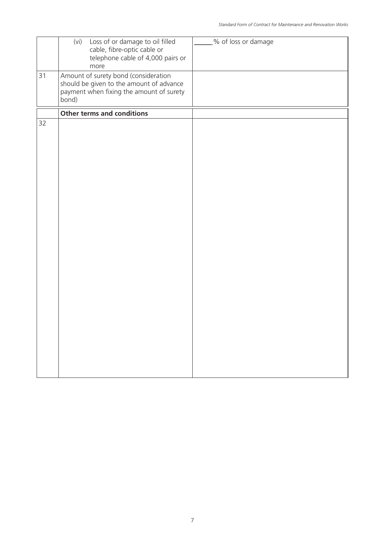|    | Loss of or damage to oil filled<br>(vi)<br>cable, fibre-optic cable or<br>telephone cable of 4,000 pairs or<br>more                   | % of loss or damage |
|----|---------------------------------------------------------------------------------------------------------------------------------------|---------------------|
| 31 | Amount of surety bond (consideration<br>should be given to the amount of advance<br>payment when fixing the amount of surety<br>bond) |                     |
|    | Other terms and conditions                                                                                                            |                     |
| 32 |                                                                                                                                       |                     |
|    |                                                                                                                                       |                     |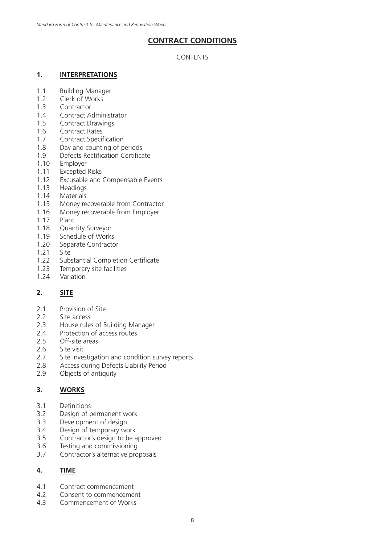# **CONTRACT CONDITIONS**

### CONTENTS

### **1. INTERPRETATIONS**

- 1.1 Building Manager
- 1.2 Clerk of Works
- 1.3 Contractor
- 1.4 Contract Administrator
- 1.5 Contract Drawings
- 1.6 Contract Rates
- 1.7 Contract Specification
- 1.8 Day and counting of periods
- 1.9 Defects Rectification Certificate
- 1.10 Employer
- 1.11 Excepted Risks
- 1.12 Excusable and Compensable Events
- 1.13 Headings
- 1.14 Materials
- 1.15 Money recoverable from Contractor
- 1.16 Money recoverable from Employer
- 1.17 Plant
- 1.18 Quantity Surveyor
- 1.19 Schedule of Works
- 1.20 Separate Contractor
- 1.21 Site
- 1.22 Substantial Completion Certificate
- 1.23 Temporary site facilities
- 1.24 Variation

# **2. SITE**

- 2.1 Provision of Site
- 2.2 Site access
- 2.3 House rules of Building Manager
- 2.4 Protection of access routes
- 2.5 Off-site areas
- 2.6 Site visit
- 2.7 Site investigation and condition survey reports
- 2.8 Access during Defects Liability Period
- 2.9 Objects of antiquity

### **3. WORKS**

- 3.1 Definitions
- 3.2 Design of permanent work
- 3.3 Development of design
- 3.4 Design of temporary work
- 3.5 Contractor's design to be approved
- 3.6 Testing and commissioning
- 3.7 Contractor's alternative proposals

### **4. TIME**

- 4.1 Contract commencement
- 4.2 Consent to commencement
- 4.3 Commencement of Works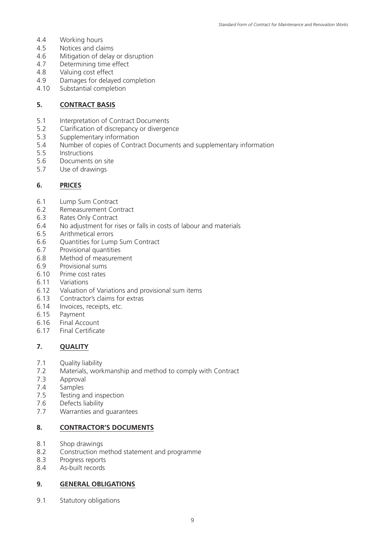- 4.4 Working hours
- 4.5 Notices and claims
- 4.6 Mitigation of delay or disruption
- 4.7 Determining time effect
- 4.8 Valuing cost effect
- 4.9 Damages for delayed completion
- 4.10 Substantial completion

### **5. CONTRACT BASIS**

- 5.1 Interpretation of Contract Documents
- 5.2 Clarification of discrepancy or divergence
- 5.3 Supplementary information
- 5.4 Number of copies of Contract Documents and supplementary information
- 5.5 Instructions
- 5.6 Documents on site
- 5.7 Use of drawings

### **6. PRICES**

- 6.1 Lump Sum Contract
- 6.2 Remeasurement Contract
- 6.3 Rates Only Contract
- 6.4 No adjustment for rises or falls in costs of labour and materials
- 6.5 Arithmetical errors
- 6.6 Quantities for Lump Sum Contract
- 6.7 Provisional quantities
- 6.8 Method of measurement
- 6.9 Provisional sums
- 6.10 Prime cost rates
- 6.11 Variations
- 6.12 Valuation of Variations and provisional sum items
- 6.13 Contractor's claims for extras
- 6.14 Invoices, receipts, etc.
- 6.15 Payment
- 6.16 Final Account
- 6.17 Final Certificate

### **7. QUALITY**

- 7.1 Quality liability<br>7.2 Materials, work
- Materials, workmanship and method to comply with Contract
- 7.3 Approval
- 7.4 Samples
- 7.5 Testing and inspection
- 7.6 Defects liability
- 7.7 Warranties and guarantees

### **8. CONTRACTOR'S DOCUMENTS**

- 8.1 Shop drawings
- 8.2 Construction method statement and programme
- 8.3 Progress reports
- 8.4 As-built records

### **9. GENERAL OBLIGATIONS**

9.1 Statutory obligations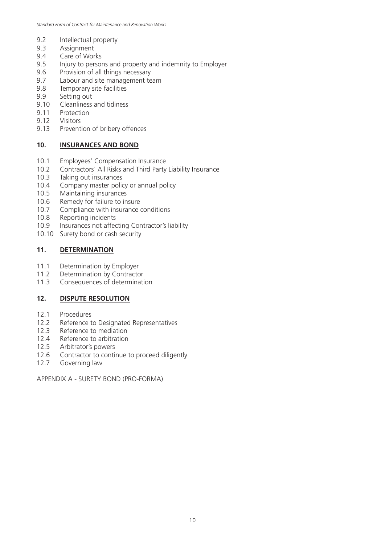- 9.2 Intellectual property
- 9.3 Assignment
- 9.4 Care of Works
- 9.5 Injury to persons and property and indemnity to Employer
- 9.6 Provision of all things necessary
- 9.7 Labour and site management team
- 9.8 Temporary site facilities
- 9.9 Setting out
- 9.10 Cleanliness and tidiness
- 9.11 Protection
- 9.12 Visitors
- 9.13 Prevention of bribery offences

# **10. INSURANCES AND BOND**

- 10.1 Employees' Compensation Insurance
- 10.2 Contractors' All Risks and Third Party Liability Insurance
- 10.3 Taking out insurances<br>10.4 Company master polic
- 10.4 Company master policy or annual policy<br>10.5 Maintaining insurances
- Maintaining insurances
- 10.6 Remedy for failure to insure
- 10.7 Compliance with insurance conditions
- 10.8 Reporting incidents
- 10.9 Insurances not affecting Contractor's liability
- 10.10 Surety bond or cash security

# **11. DETERMINATION**

- 11.1 Determination by Employer
- 11.2 Determination by Contractor
- 11.3 Consequences of determination

# **12. DISPUTE RESOLUTION**

- 12.1 Procedures
- 12.2 Reference to Designated Representatives
- 12.3 Reference to mediation
- 12.4 Reference to arbitration
- 12.5 Arbitrator's powers
- 12.6 Contractor to continue to proceed diligently
- 12.7 Governing law

APPENDIX A - SURETY BOND (PRO-FORMA)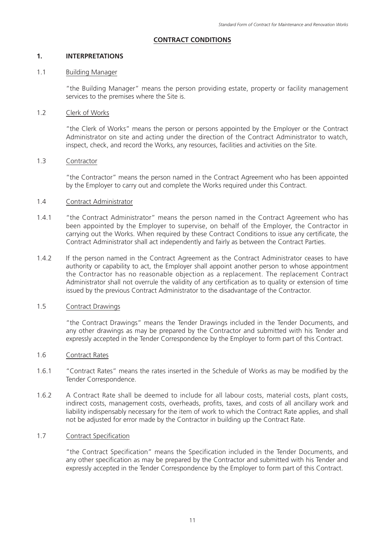### **CONTRACT CONDITIONS**

### **1. INTERPRETATIONS**

### 1.1 Building Manager

"the Building Manager" means the person providing estate, property or facility management services to the premises where the Site is.

### 1.2 Clerk of Works

"the Clerk of Works" means the person or persons appointed by the Employer or the Contract Administrator on site and acting under the direction of the Contract Administrator to watch, inspect, check, and record the Works, any resources, facilities and activities on the Site.

### 1.3 Contractor

"the Contractor" means the person named in the Contract Agreement who has been appointed by the Employer to carry out and complete the Works required under this Contract.

### 1.4 Contract Administrator

- 1.4.1 "the Contract Administrator" means the person named in the Contract Agreement who has been appointed by the Employer to supervise, on behalf of the Employer, the Contractor in carrying out the Works. When required by these Contract Conditions to issue any certificate, the Contract Administrator shall act independently and fairly as between the Contract Parties.
- 1.4.2 If the person named in the Contract Agreement as the Contract Administrator ceases to have authority or capability to act, the Employer shall appoint another person to whose appointment the Contractor has no reasonable objection as a replacement. The replacement Contract Administrator shall not overrule the validity of any certification as to quality or extension of time issued by the previous Contract Administrator to the disadvantage of the Contractor.

### 1.5 Contract Drawings

"the Contract Drawings" means the Tender Drawings included in the Tender Documents, and any other drawings as may be prepared by the Contractor and submitted with his Tender and expressly accepted in the Tender Correspondence by the Employer to form part of this Contract.

### 1.6 Contract Rates

- 1.6.1 "Contract Rates" means the rates inserted in the Schedule of Works as may be modified by the Tender Correspondence.
- 1.6.2 A Contract Rate shall be deemed to include for all labour costs, material costs, plant costs, indirect costs, management costs, overheads, profits, taxes, and costs of all ancillary work and liability indispensably necessary for the item of work to which the Contract Rate applies, and shall not be adjusted for error made by the Contractor in building up the Contract Rate.

### 1.7 Contract Specification

"the Contract Specification" means the Specification included in the Tender Documents, and any other specification as may be prepared by the Contractor and submitted with his Tender and expressly accepted in the Tender Correspondence by the Employer to form part of this Contract.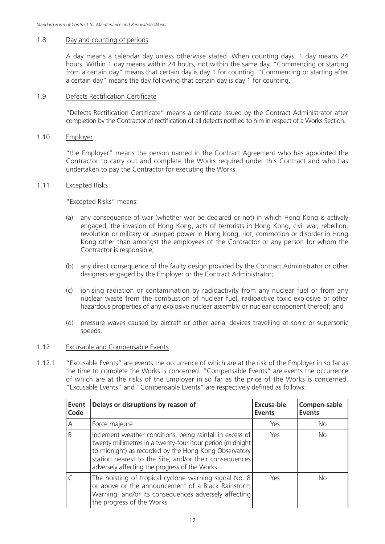### 1.8 Day and counting of periods

A day means a calendar day unless otherwise stated. When counting days, 1 day means 24 hours. Within 1 day means within 24 hours, not within the same day. "Commencing or starting from a certain day" means that certain day is day 1 for counting. "Commencing or starting after a certain day" means the day following that certain day is day 1 for counting.

### 1.9 Defects Rectification Certificate

"Defects Rectification Certificate" means a certificate issued by the Contract Administrator after completion by the Contractor of rectification of all defects notified to him in respect of a Works Section.

### 1.10 Employer

"the Employer" means the person named in the Contract Agreement who has appointed the Contractor to carry out and complete the Works required under this Contract and who has undertaken to pay the Contractor for executing the Works.

### 1.11 Excepted Risks

"Excepted Risks" means:

- (a) any consequence of war (whether war be declared or not) in which Hong Kong is actively engaged, the invasion of Hong Kong, acts of terrorists in Hong Kong, civil war, rebellion, revolution or military or usurped power in Hong Kong, riot, commotion or disorder in Hong Kong other than amongst the employees of the Contractor or any person for whom the Contractor is responsible;
- (b) any direct consequence of the faulty design provided by the Contract Administrator or other designers engaged by the Employer or the Contract Administrator;
- (c) ionising radiation or contamination by radioactivity from any nuclear fuel or from any nuclear waste from the combustion of nuclear fuel, radioactive toxic explosive or other hazardous properties of any explosive nuclear assembly or nuclear component thereof; and
- (d) pressure waves caused by aircraft or other aerial devices travelling at sonic or supersonic speeds.

### 1.12 Excusable and Compensable Events

1.12.1 "Excusable Events" are events the occurrence of which are at the risk of the Employer in so far as the time to complete the Works is concerned. "Compensable Events" are events the occurrence of which are at the risks of the Employer in so far as the price of the Works is concerned. "Excusable Events" and "Compensable Events" are respectively defined as follows:

| Event<br>Code | Delays or disruptions by reason of                                                                                                                                                                                                                                                          | Excusa-ble<br><b>Events</b> | Compen-sable<br><b>Events</b> |
|---------------|---------------------------------------------------------------------------------------------------------------------------------------------------------------------------------------------------------------------------------------------------------------------------------------------|-----------------------------|-------------------------------|
| А             | Force majeure                                                                                                                                                                                                                                                                               | Yes                         | <b>No</b>                     |
| B             | Inclement weather conditions, being rainfall in excess of<br>twenty millimetres in a twenty-four hour period (midnight)<br>to midnight) as recorded by the Hong Kong Observatory<br>station nearest to the Site, and/or their consequences<br>adversely affecting the progress of the Works | Yes                         | <b>No</b>                     |
|               | The hoisting of tropical cyclone warning signal No. 8<br>or above or the announcement of a Black Rainstorm<br>Warning, and/or its consequences adversely affecting<br>the progress of the Works                                                                                             | Yes                         | <b>No</b>                     |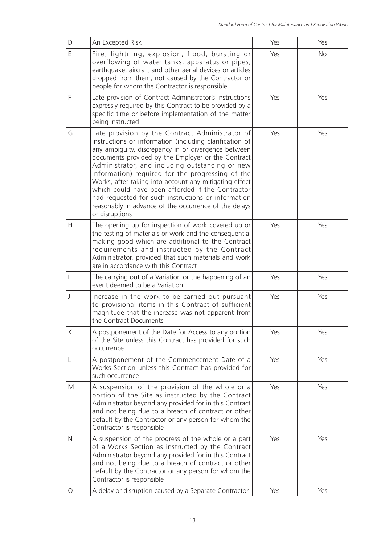| D  | An Excepted Risk                                                                                                                                                                                                                                                                                                                                                                                                                                                                                                                                                              | Yes | Yes       |
|----|-------------------------------------------------------------------------------------------------------------------------------------------------------------------------------------------------------------------------------------------------------------------------------------------------------------------------------------------------------------------------------------------------------------------------------------------------------------------------------------------------------------------------------------------------------------------------------|-----|-----------|
| E  | Fire, lightning, explosion, flood, bursting or<br>overflowing of water tanks, apparatus or pipes,<br>earthquake, aircraft and other aerial devices or articles<br>dropped from them, not caused by the Contractor or<br>people for whom the Contractor is responsible                                                                                                                                                                                                                                                                                                         | Yes | <b>No</b> |
| F  | Late provision of Contract Administrator's instructions<br>expressly required by this Contract to be provided by a<br>specific time or before implementation of the matter<br>being instructed                                                                                                                                                                                                                                                                                                                                                                                | Yes | Yes       |
| G  | Late provision by the Contract Administrator of<br>instructions or information (including clarification of<br>any ambiguity, discrepancy in or divergence between<br>documents provided by the Employer or the Contract<br>Administrator, and including outstanding or new<br>information) required for the progressing of the<br>Works, after taking into account any mitigating effect<br>which could have been afforded if the Contractor<br>had requested for such instructions or information<br>reasonably in advance of the occurrence of the delays<br>or disruptions | Yes | Yes       |
| H. | The opening up for inspection of work covered up or<br>the testing of materials or work and the consequential<br>making good which are additional to the Contract<br>requirements and instructed by the Contract<br>Administrator, provided that such materials and work<br>are in accordance with this Contract                                                                                                                                                                                                                                                              | Yes | Yes       |
|    | The carrying out of a Variation or the happening of an<br>event deemed to be a Variation                                                                                                                                                                                                                                                                                                                                                                                                                                                                                      | Yes | Yes       |
| J  | Increase in the work to be carried out pursuant<br>to provisional items in this Contract of sufficient<br>magnitude that the increase was not apparent from<br>the Contract Documents                                                                                                                                                                                                                                                                                                                                                                                         | Yes | Yes       |
| K  | A postponement of the Date for Access to any portion<br>of the Site unless this Contract has provided for such<br>occurrence                                                                                                                                                                                                                                                                                                                                                                                                                                                  | Yes | Yes       |
| L  | A postponement of the Commencement Date of a<br>Works Section unless this Contract has provided for<br>such occurrence                                                                                                                                                                                                                                                                                                                                                                                                                                                        | Yes | Yes       |
| M  | A suspension of the provision of the whole or a<br>portion of the Site as instructed by the Contract<br>Administrator beyond any provided for in this Contract<br>and not being due to a breach of contract or other<br>default by the Contractor or any person for whom the<br>Contractor is responsible                                                                                                                                                                                                                                                                     | Yes | Yes       |
| N  | A suspension of the progress of the whole or a part<br>of a Works Section as instructed by the Contract<br>Administrator beyond any provided for in this Contract<br>and not being due to a breach of contract or other<br>default by the Contractor or any person for whom the<br>Contractor is responsible                                                                                                                                                                                                                                                                  | Yes | Yes       |
| 0  | A delay or disruption caused by a Separate Contractor                                                                                                                                                                                                                                                                                                                                                                                                                                                                                                                         | Yes | Yes       |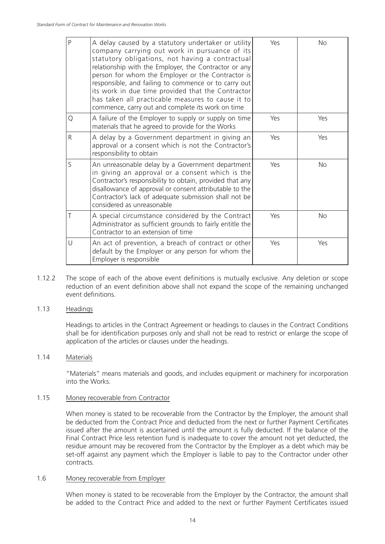| $\overline{P}$ | A delay caused by a statutory undertaker or utility<br>company carrying out work in pursuance of its<br>statutory obligations, not having a contractual<br>relationship with the Employer, the Contractor or any<br>person for whom the Employer or the Contractor is<br>responsible, and failing to commence or to carry out<br>its work in due time provided that the Contractor<br>has taken all practicable measures to cause it to<br>commence, carry out and complete its work on time | Yes | No        |
|----------------|----------------------------------------------------------------------------------------------------------------------------------------------------------------------------------------------------------------------------------------------------------------------------------------------------------------------------------------------------------------------------------------------------------------------------------------------------------------------------------------------|-----|-----------|
| Q              | A failure of the Employer to supply or supply on time<br>materials that he agreed to provide for the Works                                                                                                                                                                                                                                                                                                                                                                                   | Yes | Yes       |
| R              | A delay by a Government department in giving an<br>approval or a consent which is not the Contractor's<br>responsibility to obtain                                                                                                                                                                                                                                                                                                                                                           | Yes | Yes       |
| $\mathsf{S}$   | An unreasonable delay by a Government department<br>in giving an approval or a consent which is the<br>Contractor's responsibility to obtain, provided that any<br>disallowance of approval or consent attributable to the<br>Contractor's lack of adequate submission shall not be<br>considered as unreasonable                                                                                                                                                                            | Yes | <b>No</b> |
|                | A special circumstance considered by the Contract<br>Administrator as sufficient grounds to fairly entitle the<br>Contractor to an extension of time                                                                                                                                                                                                                                                                                                                                         | Yes | <b>No</b> |
| U              | An act of prevention, a breach of contract or other<br>default by the Employer or any person for whom the<br>Employer is responsible                                                                                                                                                                                                                                                                                                                                                         | Yes | Yes       |

1.12.2 The scope of each of the above event definitions is mutually exclusive. Any deletion or scope reduction of an event definition above shall not expand the scope of the remaining unchanged event definitions.

### 1.13 Headings

Headings to articles in the Contract Agreement or headings to clauses in the Contract Conditions shall be for identification purposes only and shall not be read to restrict or enlarge the scope of application of the articles or clauses under the headings.

### 1.14 Materials

"Materials" means materials and goods, and includes equipment or machinery for incorporation into the Works.

#### 1.15 Money recoverable from Contractor

When money is stated to be recoverable from the Contractor by the Employer, the amount shall be deducted from the Contract Price and deducted from the next or further Payment Certificates issued after the amount is ascertained until the amount is fully deducted. If the balance of the Final Contract Price less retention fund is inadequate to cover the amount not yet deducted, the residue amount may be recovered from the Contractor by the Employer as a debt which may be set-off against any payment which the Employer is liable to pay to the Contractor under other contracts.

#### 1.6 Money recoverable from Employer

When money is stated to be recoverable from the Employer by the Contractor, the amount shall be added to the Contract Price and added to the next or further Payment Certificates issued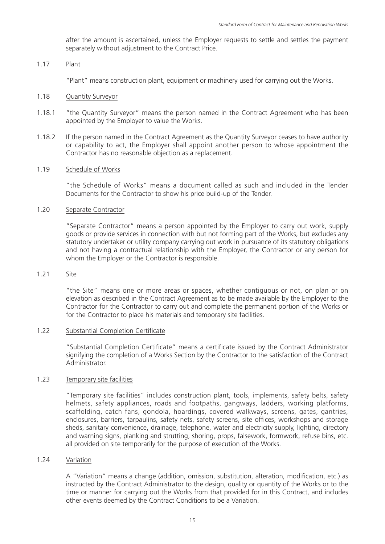after the amount is ascertained, unless the Employer requests to settle and settles the payment separately without adjustment to the Contract Price.

### 1.17 Plant

"Plant" means construction plant, equipment or machinery used for carrying out the Works.

### 1.18 Quantity Surveyor

- 1.18.1 "the Quantity Surveyor" means the person named in the Contract Agreement who has been appointed by the Employer to value the Works.
- 1.18.2 If the person named in the Contract Agreement as the Quantity Surveyor ceases to have authority or capability to act, the Employer shall appoint another person to whose appointment the Contractor has no reasonable objection as a replacement.

### 1.19 Schedule of Works

"the Schedule of Works" means a document called as such and included in the Tender Documents for the Contractor to show his price build-up of the Tender.

### 1.20 Separate Contractor

"Separate Contractor" means a person appointed by the Employer to carry out work, supply goods or provide services in connection with but not forming part of the Works, but excludes any statutory undertaker or utility company carrying out work in pursuance of its statutory obligations and not having a contractual relationship with the Employer, the Contractor or any person for whom the Employer or the Contractor is responsible.

### 1.21 Site

"the Site" means one or more areas or spaces, whether contiguous or not, on plan or on elevation as described in the Contract Agreement as to be made available by the Employer to the Contractor for the Contractor to carry out and complete the permanent portion of the Works or for the Contractor to place his materials and temporary site facilities.

### 1.22 Substantial Completion Certificate

"Substantial Completion Certificate" means a certificate issued by the Contract Administrator signifying the completion of a Works Section by the Contractor to the satisfaction of the Contract Administrator.

### 1.23 Temporary site facilities

"Temporary site facilities" includes construction plant, tools, implements, safety belts, safety helmets, safety appliances, roads and footpaths, gangways, ladders, working platforms, scaffolding, catch fans, gondola, hoardings, covered walkways, screens, gates, gantries, enclosures, barriers, tarpaulins, safety nets, safety screens, site offices, workshops and storage sheds, sanitary convenience, drainage, telephone, water and electricity supply, lighting, directory and warning signs, planking and strutting, shoring, props, falsework, formwork, refuse bins, etc. all provided on site temporarily for the purpose of execution of the Works.

### 1.24 Variation

A "Variation" means a change (addition, omission, substitution, alteration, modification, etc.) as instructed by the Contract Administrator to the design, quality or quantity of the Works or to the time or manner for carrying out the Works from that provided for in this Contract, and includes other events deemed by the Contract Conditions to be a Variation.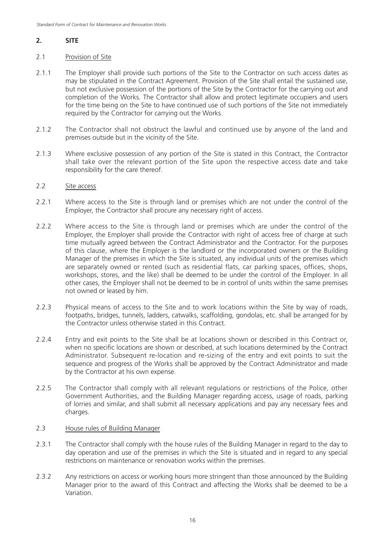# **2. SITE**

### 2.1 Provision of Site

- 2.1.1 The Employer shall provide such portions of the Site to the Contractor on such access dates as may be stipulated in the Contract Agreement. Provision of the Site shall entail the sustained use, but not exclusive possession of the portions of the Site by the Contractor for the carrying out and completion of the Works. The Contractor shall allow and protect legitimate occupiers and users for the time being on the Site to have continued use of such portions of the Site not immediately required by the Contractor for carrying out the Works.
- 2.1.2 The Contractor shall not obstruct the lawful and continued use by anyone of the land and premises outside but in the vicinity of the Site.
- 2.1.3 Where exclusive possession of any portion of the Site is stated in this Contract, the Contractor shall take over the relevant portion of the Site upon the respective access date and take responsibility for the care thereof.

### 2.2 Site access

- 2.2.1 Where access to the Site is through land or premises which are not under the control of the Employer, the Contractor shall procure any necessary right of access.
- 2.2.2 Where access to the Site is through land or premises which are under the control of the Employer, the Employer shall provide the Contractor with right of access free of charge at such time mutually agreed between the Contract Administrator and the Contractor. For the purposes of this clause, where the Employer is the landlord or the incorporated owners or the Building Manager of the premises in which the Site is situated, any individual units of the premises which are separately owned or rented (such as residential flats, car parking spaces, offices, shops, workshops, stores, and the like) shall be deemed to be under the control of the Employer. In all other cases, the Employer shall not be deemed to be in control of units within the same premises not owned or leased by him.
- 2.2.3 Physical means of access to the Site and to work locations within the Site by way of roads, footpaths, bridges, tunnels, ladders, catwalks, scaffolding, gondolas, etc. shall be arranged for by the Contractor unless otherwise stated in this Contract.
- 2.2.4 Entry and exit points to the Site shall be at locations shown or described in this Contract or, when no specific locations are shown or described, at such locations determined by the Contract Administrator. Subsequent re-location and re-sizing of the entry and exit points to suit the sequence and progress of the Works shall be approved by the Contract Administrator and made by the Contractor at his own expense.
- 2.2.5 The Contractor shall comply with all relevant regulations or restrictions of the Police, other Government Authorities, and the Building Manager regarding access, usage of roads, parking of lorries and similar, and shall submit all necessary applications and pay any necessary fees and charges.

### 2.3 House rules of Building Manager

- 2.3.1 The Contractor shall comply with the house rules of the Building Manager in regard to the day to day operation and use of the premises in which the Site is situated and in regard to any special restrictions on maintenance or renovation works within the premises.
- 2.3.2 Any restrictions on access or working hours more stringent than those announced by the Building Manager prior to the award of this Contract and affecting the Works shall be deemed to be a Variation.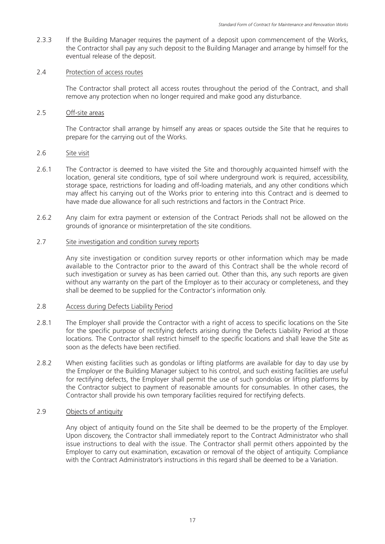2.3.3 If the Building Manager requires the payment of a deposit upon commencement of the Works, the Contractor shall pay any such deposit to the Building Manager and arrange by himself for the eventual release of the deposit.

### 2.4 Protection of access routes

The Contractor shall protect all access routes throughout the period of the Contract, and shall remove any protection when no longer required and make good any disturbance.

### 2.5 Off-site areas

The Contractor shall arrange by himself any areas or spaces outside the Site that he requires to prepare for the carrying out of the Works.

### 2.6 Site visit

- 2.6.1 The Contractor is deemed to have visited the Site and thoroughly acquainted himself with the location, general site conditions, type of soil where underground work is required, accessibility, storage space, restrictions for loading and off-loading materials, and any other conditions which may affect his carrying out of the Works prior to entering into this Contract and is deemed to have made due allowance for all such restrictions and factors in the Contract Price.
- 2.6.2 Any claim for extra payment or extension of the Contract Periods shall not be allowed on the grounds of ignorance or misinterpretation of the site conditions.

### 2.7 Site investigation and condition survey reports

Any site investigation or condition survey reports or other information which may be made available to the Contractor prior to the award of this Contract shall be the whole record of such investigation or survey as has been carried out. Other than this, any such reports are given without any warranty on the part of the Employer as to their accuracy or completeness, and they shall be deemed to be supplied for the Contractor's information only.

### 2.8 Access during Defects Liability Period

- 2.8.1 The Employer shall provide the Contractor with a right of access to specific locations on the Site for the specific purpose of rectifying defects arising during the Defects Liability Period at those locations. The Contractor shall restrict himself to the specific locations and shall leave the Site as soon as the defects have been rectified.
- 2.8.2 When existing facilities such as gondolas or lifting platforms are available for day to day use by the Employer or the Building Manager subject to his control, and such existing facilities are useful for rectifying defects, the Employer shall permit the use of such gondolas or lifting platforms by the Contractor subject to payment of reasonable amounts for consumables. In other cases, the Contractor shall provide his own temporary facilities required for rectifying defects.

### 2.9 Objects of antiquity

Any object of antiquity found on the Site shall be deemed to be the property of the Employer. Upon discovery, the Contractor shall immediately report to the Contract Administrator who shall issue instructions to deal with the issue. The Contractor shall permit others appointed by the Employer to carry out examination, excavation or removal of the object of antiquity. Compliance with the Contract Administrator's instructions in this regard shall be deemed to be a Variation.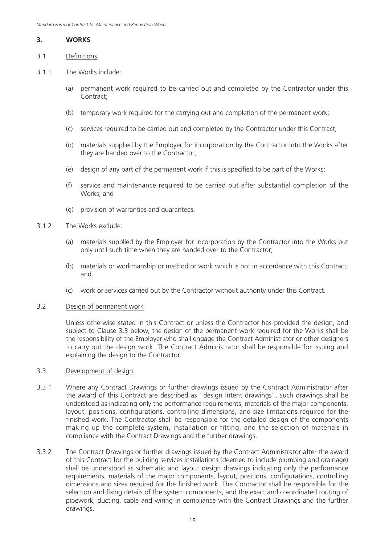### **3. WORKS**

### 3.1 Definitions

- 3.1.1 The Works include:
	- (a) permanent work required to be carried out and completed by the Contractor under this Contract;
	- (b) temporary work required for the carrying out and completion of the permanent work;
	- (c) services required to be carried out and completed by the Contractor under this Contract;
	- (d) materials supplied by the Employer for incorporation by the Contractor into the Works after they are handed over to the Contractor;
	- (e) design of any part of the permanent work if this is specified to be part of the Works;
	- (f) service and maintenance required to be carried out after substantial completion of the Works; and
	- (g) provision of warranties and guarantees.

### 3.1.2 The Works exclude:

- (a) materials supplied by the Employer for incorporation by the Contractor into the Works but only until such time when they are handed over to the Contractor;
- (b) materials or workmanship or method or work which is not in accordance with this Contract; and
- (c) work or services carried out by the Contractor without authority under this Contract.

### 3.2 Design of permanent work

Unless otherwise stated in this Contract or unless the Contractor has provided the design, and subject to Clause 3.3 below, the design of the permanent work required for the Works shall be the responsibility of the Employer who shall engage the Contract Administrator or other designers to carry out the design work. The Contract Administrator shall be responsible for issuing and explaining the design to the Contractor.

### 3.3 Development of design

- 3.3.1 Where any Contract Drawings or further drawings issued by the Contract Administrator after the award of this Contract are described as "design intent drawings", such drawings shall be understood as indicating only the performance requirements, materials of the major components, layout, positions, configurations, controlling dimensions, and size limitations required for the finished work. The Contractor shall be responsible for the detailed design of the components making up the complete system, installation or fitting, and the selection of materials in compliance with the Contract Drawings and the further drawings.
- 3.3.2 The Contract Drawings or further drawings issued by the Contract Administrator after the award of this Contract for the building services installations (deemed to include plumbing and drainage) shall be understood as schematic and layout design drawings indicating only the performance requirements, materials of the major components, layout, positions, configurations, controlling dimensions and sizes required for the finished work. The Contractor shall be responsible for the selection and fixing details of the system components, and the exact and co-ordinated routing of pipework, ducting, cable and wiring in compliance with the Contract Drawings and the further drawings.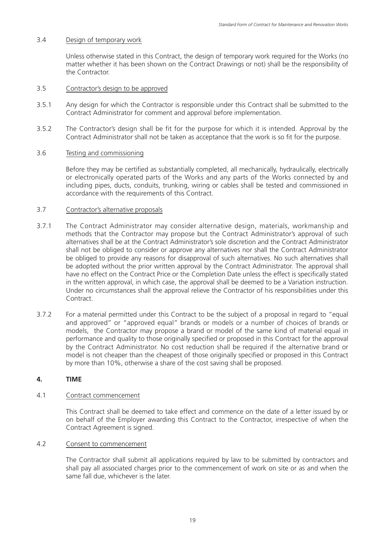### 3.4 Design of temporary work

Unless otherwise stated in this Contract, the design of temporary work required for the Works (no matter whether it has been shown on the Contract Drawings or not) shall be the responsibility of the Contractor.

### 3.5 Contractor's design to be approved

- 3.5.1 Any design for which the Contractor is responsible under this Contract shall be submitted to the Contract Administrator for comment and approval before implementation.
- 3.5.2 The Contractor's design shall be fit for the purpose for which it is intended. Approval by the Contract Administrator shall not be taken as acceptance that the work is so fit for the purpose.

#### 3.6 Testing and commissioning

Before they may be certified as substantially completed, all mechanically, hydraulically, electrically or electronically operated parts of the Works and any parts of the Works connected by and including pipes, ducts, conduits, trunking, wiring or cables shall be tested and commissioned in accordance with the requirements of this Contract.

### 3.7 Contractor's alternative proposals

- 3.7.1 The Contract Administrator may consider alternative design, materials, workmanship and methods that the Contractor may propose but the Contract Administrator's approval of such alternatives shall be at the Contract Administrator's sole discretion and the Contract Administrator shall not be obliged to consider or approve any alternatives nor shall the Contract Administrator be obliged to provide any reasons for disapproval of such alternatives. No such alternatives shall be adopted without the prior written approval by the Contract Administrator. The approval shall have no effect on the Contract Price or the Completion Date unless the effect is specifically stated in the written approval, in which case, the approval shall be deemed to be a Variation instruction. Under no circumstances shall the approval relieve the Contractor of his responsibilities under this Contract.
- 3.7.2 For a material permitted under this Contract to be the subject of a proposal in regard to "equal and approved" or "approved equal" brands or models or a number of choices of brands or models, the Contractor may propose a brand or model of the same kind of material equal in performance and quality to those originally specified or proposed in this Contract for the approval by the Contract Administrator. No cost reduction shall be required if the alternative brand or model is not cheaper than the cheapest of those originally specified or proposed in this Contract by more than 10%, otherwise a share of the cost saving shall be proposed.

### **4. TIME**

### 4.1 Contract commencement

This Contract shall be deemed to take effect and commence on the date of a letter issued by or on behalf of the Employer awarding this Contract to the Contractor, irrespective of when the Contract Agreement is signed.

### 4.2 Consent to commencement

The Contractor shall submit all applications required by law to be submitted by contractors and shall pay all associated charges prior to the commencement of work on site or as and when the same fall due, whichever is the later.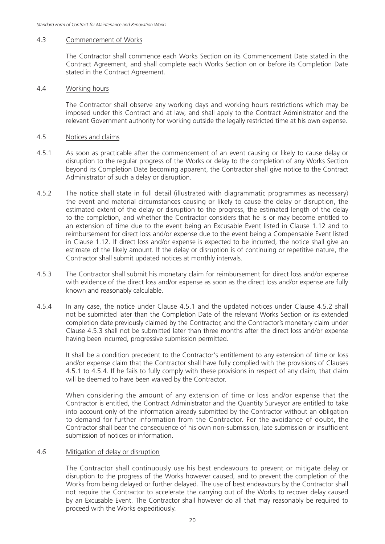#### 4.3 Commencement of Works

The Contractor shall commence each Works Section on its Commencement Date stated in the Contract Agreement, and shall complete each Works Section on or before its Completion Date stated in the Contract Agreement.

#### 4.4 Working hours

The Contractor shall observe any working days and working hours restrictions which may be imposed under this Contract and at law, and shall apply to the Contract Administrator and the relevant Government authority for working outside the legally restricted time at his own expense.

#### 4.5 Notices and claims

- 4.5.1 As soon as practicable after the commencement of an event causing or likely to cause delay or disruption to the regular progress of the Works or delay to the completion of any Works Section beyond its Completion Date becoming apparent, the Contractor shall give notice to the Contract Administrator of such a delay or disruption.
- 4.5.2 The notice shall state in full detail (illustrated with diagrammatic programmes as necessary) the event and material circumstances causing or likely to cause the delay or disruption, the estimated extent of the delay or disruption to the progress, the estimated length of the delay to the completion, and whether the Contractor considers that he is or may become entitled to an extension of time due to the event being an Excusable Event listed in Clause 1.12 and to reimbursement for direct loss and/or expense due to the event being a Compensable Event listed in Clause 1.12. If direct loss and/or expense is expected to be incurred, the notice shall give an estimate of the likely amount. If the delay or disruption is of continuing or repetitive nature, the Contractor shall submit updated notices at monthly intervals.
- 4.5.3 The Contractor shall submit his monetary claim for reimbursement for direct loss and/or expense with evidence of the direct loss and/or expense as soon as the direct loss and/or expense are fully known and reasonably calculable.
- 4.5.4 In any case, the notice under Clause 4.5.1 and the updated notices under Clause 4.5.2 shall not be submitted later than the Completion Date of the relevant Works Section or its extended completion date previously claimed by the Contractor, and the Contractor's monetary claim under Clause 4.5.3 shall not be submitted later than three months after the direct loss and/or expense having been incurred, progressive submission permitted.

It shall be a condition precedent to the Contractor's entitlement to any extension of time or loss and/or expense claim that the Contractor shall have fully complied with the provisions of Clauses 4.5.1 to 4.5.4. If he fails to fully comply with these provisions in respect of any claim, that claim will be deemed to have been waived by the Contractor.

When considering the amount of any extension of time or loss and/or expense that the Contractor is entitled, the Contract Administrator and the Quantity Surveyor are entitled to take into account only of the information already submitted by the Contractor without an obligation to demand for further information from the Contractor. For the avoidance of doubt, the Contractor shall bear the consequence of his own non-submission, late submission or insufficient submission of notices or information.

### 4.6 Mitigation of delay or disruption

The Contractor shall continuously use his best endeavours to prevent or mitigate delay or disruption to the progress of the Works however caused, and to prevent the completion of the Works from being delayed or further delayed. The use of best endeavours by the Contractor shall not require the Contractor to accelerate the carrying out of the Works to recover delay caused by an Excusable Event. The Contractor shall however do all that may reasonably be required to proceed with the Works expeditiously.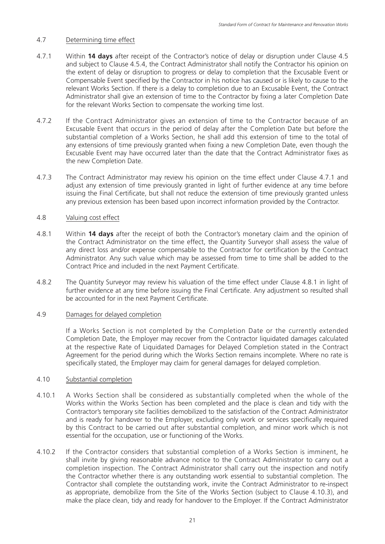### 4.7 Determining time effect

- 4.7.1 Within **14 days** after receipt of the Contractor's notice of delay or disruption under Clause 4.5 and subject to Clause 4.5.4, the Contract Administrator shall notify the Contractor his opinion on the extent of delay or disruption to progress or delay to completion that the Excusable Event or Compensable Event specified by the Contractor in his notice has caused or is likely to cause to the relevant Works Section. If there is a delay to completion due to an Excusable Event, the Contract Administrator shall give an extension of time to the Contractor by fixing a later Completion Date for the relevant Works Section to compensate the working time lost.
- 4.7.2 If the Contract Administrator gives an extension of time to the Contractor because of an Excusable Event that occurs in the period of delay after the Completion Date but before the substantial completion of a Works Section, he shall add this extension of time to the total of any extensions of time previously granted when fixing a new Completion Date, even though the Excusable Event may have occurred later than the date that the Contract Administrator fixes as the new Completion Date.
- 4.7.3 The Contract Administrator may review his opinion on the time effect under Clause 4.7.1 and adjust any extension of time previously granted in light of further evidence at any time before issuing the Final Certificate, but shall not reduce the extension of time previously granted unless any previous extension has been based upon incorrect information provided by the Contractor.

### 4.8 Valuing cost effect

- 4.8.1 Within **14 days** after the receipt of both the Contractor's monetary claim and the opinion of the Contract Administrator on the time effect, the Quantity Surveyor shall assess the value of any direct loss and/or expense compensable to the Contractor for certification by the Contract Administrator. Any such value which may be assessed from time to time shall be added to the Contract Price and included in the next Payment Certificate.
- 4.8.2 The Quantity Surveyor may review his valuation of the time effect under Clause 4.8.1 in light of further evidence at any time before issuing the Final Certificate. Any adjustment so resulted shall be accounted for in the next Payment Certificate.

### 4.9 Damages for delayed completion

If a Works Section is not completed by the Completion Date or the currently extended Completion Date, the Employer may recover from the Contractor liquidated damages calculated at the respective Rate of Liquidated Damages for Delayed Completion stated in the Contract Agreement for the period during which the Works Section remains incomplete. Where no rate is specifically stated, the Employer may claim for general damages for delayed completion.

### 4.10 Substantial completion

- 4.10.1 A Works Section shall be considered as substantially completed when the whole of the Works within the Works Section has been completed and the place is clean and tidy with the Contractor's temporary site facilities demobilized to the satisfaction of the Contract Administrator and is ready for handover to the Employer, excluding only work or services specifically required by this Contract to be carried out after substantial completion, and minor work which is not essential for the occupation, use or functioning of the Works.
- 4.10.2 If the Contractor considers that substantial completion of a Works Section is imminent, he shall invite by giving reasonable advance notice to the Contract Administrator to carry out a completion inspection. The Contract Administrator shall carry out the inspection and notify the Contractor whether there is any outstanding work essential to substantial completion. The Contractor shall complete the outstanding work, invite the Contract Administrator to re-inspect as appropriate, demobilize from the Site of the Works Section (subject to Clause 4.10.3), and make the place clean, tidy and ready for handover to the Employer. If the Contract Administrator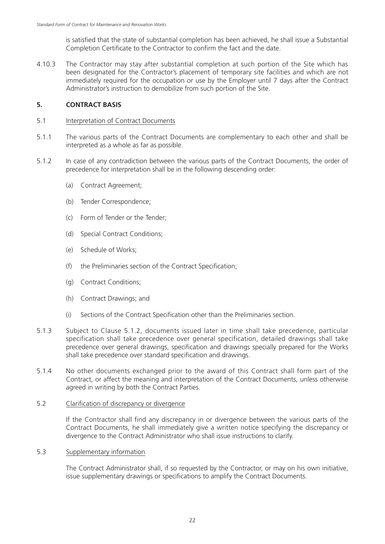is satisfied that the state of substantial completion has been achieved, he shall issue a Substantial Completion Certificate to the Contractor to confirm the fact and the date.

4.10.3 The Contractor may stay after substantial completion at such portion of the Site which has been designated for the Contractor's placement of temporary site facilities and which are not immediately required for the occupation or use by the Employer until 7 days after the Contract Administrator's instruction to demobilize from such portion of the Site.

### **5. CONTRACT BASIS**

### 5.1 Interpretation of Contract Documents

- 5.1.1 The various parts of the Contract Documents are complementary to each other and shall be interpreted as a whole as far as possible.
- 5.1.2 In case of any contradiction between the various parts of the Contract Documents, the order of precedence for interpretation shall be in the following descending order:
	- (a) Contract Agreement;
	- (b) Tender Correspondence;
	- (c) Form of Tender or the Tender;
	- (d) Special Contract Conditions;
	- (e) Schedule of Works;
	- (f) the Preliminaries section of the Contract Specification;
	- (g) Contract Conditions;
	- (h) Contract Drawings; and
	- (i) Sections of the Contract Specification other than the Preliminaries section.
- 5.1.3 Subject to Clause 5.1.2, documents issued later in time shall take precedence, particular specification shall take precedence over general specification, detailed drawings shall take precedence over general drawings, specification and drawings specially prepared for the Works shall take precedence over standard specification and drawings.
- 5.1.4 No other documents exchanged prior to the award of this Contract shall form part of the Contract, or affect the meaning and interpretation of the Contract Documents, unless otherwise agreed in writing by both the Contract Parties.

### 5.2 Clarification of discrepancy or divergence

If the Contractor shall find any discrepancy in or divergence between the various parts of the Contract Documents, he shall immediately give a written notice specifying the discrepancy or divergence to the Contract Administrator who shall issue instructions to clarify.

### 5.3 Supplementary information

The Contract Administrator shall, if so requested by the Contractor, or may on his own initiative, issue supplementary drawings or specifications to amplify the Contract Documents.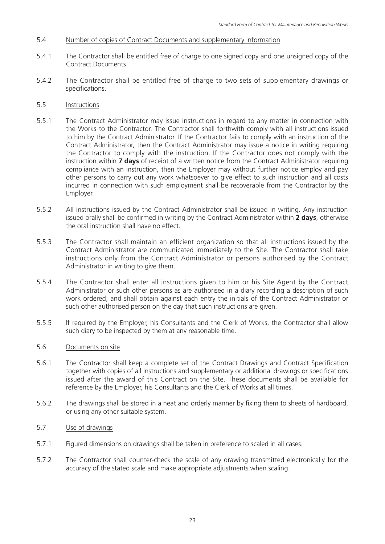- 5.4 Number of copies of Contract Documents and supplementary information
- 5.4.1 The Contractor shall be entitled free of charge to one signed copy and one unsigned copy of the Contract Documents.
- 5.4.2 The Contractor shall be entitled free of charge to two sets of supplementary drawings or specifications.
- 5.5 Instructions
- 5.5.1 The Contract Administrator may issue instructions in regard to any matter in connection with the Works to the Contractor. The Contractor shall forthwith comply with all instructions issued to him by the Contract Administrator. If the Contractor fails to comply with an instruction of the Contract Administrator, then the Contract Administrator may issue a notice in writing requiring the Contractor to comply with the instruction. If the Contractor does not comply with the instruction within **7 days** of receipt of a written notice from the Contract Administrator requiring compliance with an instruction, then the Employer may without further notice employ and pay other persons to carry out any work whatsoever to give effect to such instruction and all costs incurred in connection with such employment shall be recoverable from the Contractor by the Employer.
- 5.5.2 All instructions issued by the Contract Administrator shall be issued in writing. Any instruction issued orally shall be confirmed in writing by the Contract Administrator within **2 days**, otherwise the oral instruction shall have no effect.
- 5.5.3 The Contractor shall maintain an efficient organization so that all instructions issued by the Contract Administrator are communicated immediately to the Site. The Contractor shall take instructions only from the Contract Administrator or persons authorised by the Contract Administrator in writing to give them.
- 5.5.4 The Contractor shall enter all instructions given to him or his Site Agent by the Contract Administrator or such other persons as are authorised in a diary recording a description of such work ordered, and shall obtain against each entry the initials of the Contract Administrator or such other authorised person on the day that such instructions are given.
- 5.5.5 If required by the Employer, his Consultants and the Clerk of Works, the Contractor shall allow such diary to be inspected by them at any reasonable time.
- 5.6 Documents on site
- 5.6.1 The Contractor shall keep a complete set of the Contract Drawings and Contract Specification together with copies of all instructions and supplementary or additional drawings or specifications issued after the award of this Contract on the Site. These documents shall be available for reference by the Employer, his Consultants and the Clerk of Works at all times.
- 5.6.2 The drawings shall be stored in a neat and orderly manner by fixing them to sheets of hardboard, or using any other suitable system.
- 5.7 Use of drawings
- 5.7.1 Figured dimensions on drawings shall be taken in preference to scaled in all cases.
- 5.7.2 The Contractor shall counter-check the scale of any drawing transmitted electronically for the accuracy of the stated scale and make appropriate adjustments when scaling.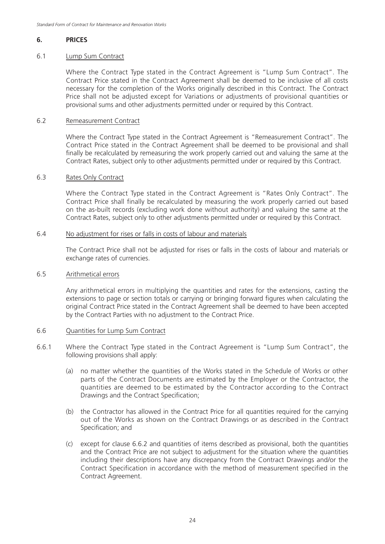### **6. PRICES**

### 6.1 Lump Sum Contract

Where the Contract Type stated in the Contract Agreement is "Lump Sum Contract". The Contract Price stated in the Contract Agreement shall be deemed to be inclusive of all costs necessary for the completion of the Works originally described in this Contract. The Contract Price shall not be adjusted except for Variations or adjustments of provisional quantities or provisional sums and other adjustments permitted under or required by this Contract.

### 6.2 Remeasurement Contract

Where the Contract Type stated in the Contract Agreement is "Remeasurement Contract". The Contract Price stated in the Contract Agreement shall be deemed to be provisional and shall finally be recalculated by remeasuring the work properly carried out and valuing the same at the Contract Rates, subject only to other adjustments permitted under or required by this Contract.

### 6.3 Rates Only Contract

Where the Contract Type stated in the Contract Agreement is "Rates Only Contract". The Contract Price shall finally be recalculated by measuring the work properly carried out based on the as-built records (excluding work done without authority) and valuing the same at the Contract Rates, subject only to other adjustments permitted under or required by this Contract.

### 6.4 No adjustment for rises or falls in costs of labour and materials

The Contract Price shall not be adjusted for rises or falls in the costs of labour and materials or exchange rates of currencies.

### 6.5 Arithmetical errors

Any arithmetical errors in multiplying the quantities and rates for the extensions, casting the extensions to page or section totals or carrying or bringing forward figures when calculating the original Contract Price stated in the Contract Agreement shall be deemed to have been accepted by the Contract Parties with no adjustment to the Contract Price.

### 6.6 Quantities for Lump Sum Contract

- 6.6.1 Where the Contract Type stated in the Contract Agreement is "Lump Sum Contract", the following provisions shall apply:
	- (a) no matter whether the quantities of the Works stated in the Schedule of Works or other parts of the Contract Documents are estimated by the Employer or the Contractor, the quantities are deemed to be estimated by the Contractor according to the Contract Drawings and the Contract Specification;
	- (b) the Contractor has allowed in the Contract Price for all quantities required for the carrying out of the Works as shown on the Contract Drawings or as described in the Contract Specification; and
	- (c) except for clause 6.6.2 and quantities of items described as provisional, both the quantities and the Contract Price are not subject to adjustment for the situation where the quantities including their descriptions have any discrepancy from the Contract Drawings and/or the Contract Specification in accordance with the method of measurement specified in the Contract Agreement.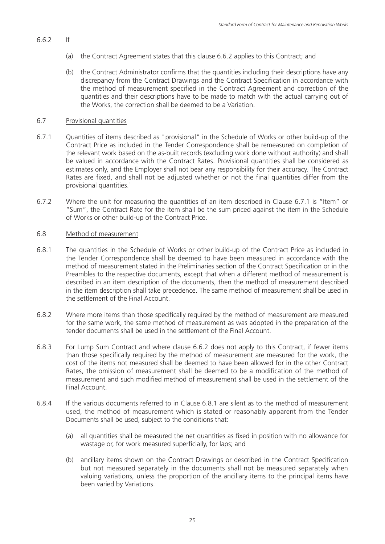- 6.6.2 If
	- (a) the Contract Agreement states that this clause 6.6.2 applies to this Contract; and
	- (b) the Contract Administrator confirms that the quantities including their descriptions have any discrepancy from the Contract Drawings and the Contract Specification in accordance with the method of measurement specified in the Contract Agreement and correction of the quantities and their descriptions have to be made to match with the actual carrying out of the Works, the correction shall be deemed to be a Variation.

### 6.7 Provisional quantities

- 6.7.1 Quantities of items described as "provisional" in the Schedule of Works or other build-up of the Contract Price as included in the Tender Correspondence shall be remeasured on completion of the relevant work based on the as-built records (excluding work done without authority) and shall be valued in accordance with the Contract Rates. Provisional quantities shall be considered as estimates only, and the Employer shall not bear any responsibility for their accuracy. The Contract Rates are fixed, and shall not be adjusted whether or not the final quantities differ from the provisional quantities.1
- 6.7.2 Where the unit for measuring the quantities of an item described in Clause 6.7.1 is "Item" or "Sum", the Contract Rate for the item shall be the sum priced against the item in the Schedule of Works or other build-up of the Contract Price.

### 6.8 Method of measurement

- 6.8.1 The quantities in the Schedule of Works or other build-up of the Contract Price as included in the Tender Correspondence shall be deemed to have been measured in accordance with the method of measurement stated in the Preliminaries section of the Contract Specification or in the Preambles to the respective documents, except that when a different method of measurement is described in an item description of the documents, then the method of measurement described in the item description shall take precedence. The same method of measurement shall be used in the settlement of the Final Account.
- 6.8.2 Where more items than those specifically required by the method of measurement are measured for the same work, the same method of measurement as was adopted in the preparation of the tender documents shall be used in the settlement of the Final Account.
- 6.8.3 For Lump Sum Contract and where clause 6.6.2 does not apply to this Contract, if fewer items than those specifically required by the method of measurement are measured for the work, the cost of the items not measured shall be deemed to have been allowed for in the other Contract Rates, the omission of measurement shall be deemed to be a modification of the method of measurement and such modified method of measurement shall be used in the settlement of the Final Account.
- 6.8.4 If the various documents referred to in Clause 6.8.1 are silent as to the method of measurement used, the method of measurement which is stated or reasonably apparent from the Tender Documents shall be used, subject to the conditions that:
	- (a) all quantities shall be measured the net quantities as fixed in position with no allowance for wastage or, for work measured superficially, for laps; and
	- (b) ancillary items shown on the Contract Drawings or described in the Contract Specification but not measured separately in the documents shall not be measured separately when valuing variations, unless the proportion of the ancillary items to the principal items have been varied by Variations.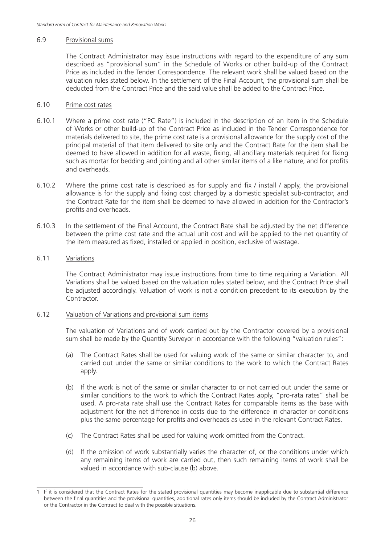#### 6.9 Provisional sums

The Contract Administrator may issue instructions with regard to the expenditure of any sum described as "provisional sum" in the Schedule of Works or other build-up of the Contract Price as included in the Tender Correspondence. The relevant work shall be valued based on the valuation rules stated below. In the settlement of the Final Account, the provisional sum shall be deducted from the Contract Price and the said value shall be added to the Contract Price.

### 6.10 Prime cost rates

- 6.10.1 Where a prime cost rate ("PC Rate") is included in the description of an item in the Schedule of Works or other build-up of the Contract Price as included in the Tender Correspondence for materials delivered to site, the prime cost rate is a provisional allowance for the supply cost of the principal material of that item delivered to site only and the Contract Rate for the item shall be deemed to have allowed in addition for all waste, fixing, all ancillary materials required for fixing such as mortar for bedding and jointing and all other similar items of a like nature, and for profits and overheads.
- 6.10.2 Where the prime cost rate is described as for supply and fix / install / apply, the provisional allowance is for the supply and fixing cost charged by a domestic specialist sub-contractor, and the Contract Rate for the item shall be deemed to have allowed in addition for the Contractor's profits and overheads.
- 6.10.3 In the settlement of the Final Account, the Contract Rate shall be adjusted by the net difference between the prime cost rate and the actual unit cost and will be applied to the net quantity of the item measured as fixed, installed or applied in position, exclusive of wastage.

#### 6.11 Variations

The Contract Administrator may issue instructions from time to time requiring a Variation. All Variations shall be valued based on the valuation rules stated below, and the Contract Price shall be adjusted accordingly. Valuation of work is not a condition precedent to its execution by the Contractor.

### 6.12 Valuation of Variations and provisional sum items

The valuation of Variations and of work carried out by the Contractor covered by a provisional sum shall be made by the Quantity Surveyor in accordance with the following "valuation rules":

- (a) The Contract Rates shall be used for valuing work of the same or similar character to, and carried out under the same or similar conditions to the work to which the Contract Rates apply.
- (b) If the work is not of the same or similar character to or not carried out under the same or similar conditions to the work to which the Contract Rates apply, "pro-rata rates" shall be used. A pro-rata rate shall use the Contract Rates for comparable items as the base with adjustment for the net difference in costs due to the difference in character or conditions plus the same percentage for profits and overheads as used in the relevant Contract Rates.
- (c) The Contract Rates shall be used for valuing work omitted from the Contract.
- (d) If the omission of work substantially varies the character of, or the conditions under which any remaining items of work are carried out, then such remaining items of work shall be valued in accordance with sub-clause (b) above.

<sup>1</sup> If it is considered that the Contract Rates for the stated provisional quantities may become inapplicable due to substantial difference between the final quantities and the provisional quantities, additional rates only items should be included by the Contract Administrator or the Contractor in the Contract to deal with the possible situations.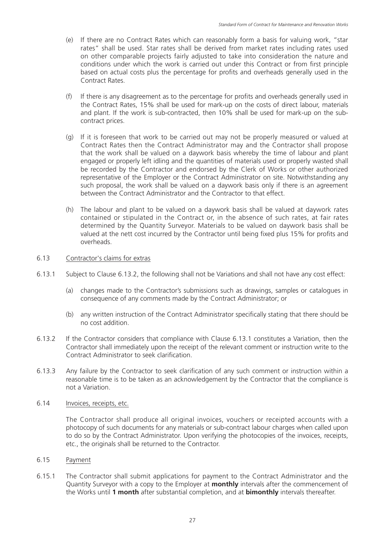- (e) If there are no Contract Rates which can reasonably form a basis for valuing work, "star rates" shall be used. Star rates shall be derived from market rates including rates used on other comparable projects fairly adjusted to take into consideration the nature and conditions under which the work is carried out under this Contract or from first principle based on actual costs plus the percentage for profits and overheads generally used in the Contract Rates.
- (f) If there is any disagreement as to the percentage for profits and overheads generally used in the Contract Rates, 15% shall be used for mark-up on the costs of direct labour, materials and plant. If the work is sub-contracted, then 10% shall be used for mark-up on the subcontract prices.
- (g) If it is foreseen that work to be carried out may not be properly measured or valued at Contract Rates then the Contract Administrator may and the Contractor shall propose that the work shall be valued on a daywork basis whereby the time of labour and plant engaged or properly left idling and the quantities of materials used or properly wasted shall be recorded by the Contractor and endorsed by the Clerk of Works or other authorized representative of the Employer or the Contract Administrator on site. Notwithstanding any such proposal, the work shall be valued on a daywork basis only if there is an agreement between the Contract Administrator and the Contractor to that effect.
- (h) The labour and plant to be valued on a daywork basis shall be valued at daywork rates contained or stipulated in the Contract or, in the absence of such rates, at fair rates determined by the Quantity Surveyor. Materials to be valued on daywork basis shall be valued at the nett cost incurred by the Contractor until being fixed plus 15% for profits and overheads.

### 6.13 Contractor's claims for extras

- 6.13.1 Subject to Clause 6.13.2, the following shall not be Variations and shall not have any cost effect:
	- (a) changes made to the Contractor's submissions such as drawings, samples or catalogues in consequence of any comments made by the Contract Administrator; or
	- (b) any written instruction of the Contract Administrator specifically stating that there should be no cost addition.
- 6.13.2 If the Contractor considers that compliance with Clause 6.13.1 constitutes a Variation, then the Contractor shall immediately upon the receipt of the relevant comment or instruction write to the Contract Administrator to seek clarification.
- 6.13.3 Any failure by the Contractor to seek clarification of any such comment or instruction within a reasonable time is to be taken as an acknowledgement by the Contractor that the compliance is not a Variation.

### 6.14 Invoices, receipts, etc.

The Contractor shall produce all original invoices, vouchers or receipted accounts with a photocopy of such documents for any materials or sub-contract labour charges when called upon to do so by the Contract Administrator. Upon verifying the photocopies of the invoices, receipts, etc., the originals shall be returned to the Contractor.

### 6.15 Payment

6.15.1 The Contractor shall submit applications for payment to the Contract Administrator and the Quantity Surveyor with a copy to the Employer at **monthly** intervals after the commencement of the Works until **1 month** after substantial completion, and at **bimonthly** intervals thereafter.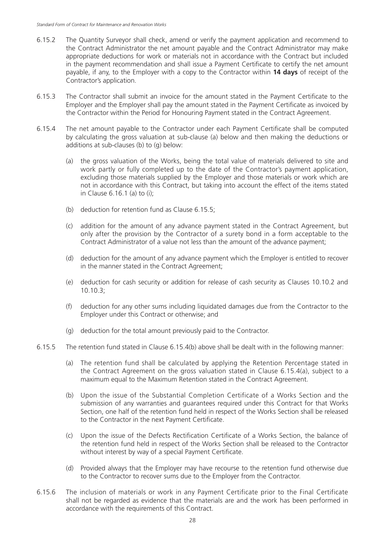- 6.15.2 The Quantity Surveyor shall check, amend or verify the payment application and recommend to the Contract Administrator the net amount payable and the Contract Administrator may make appropriate deductions for work or materials not in accordance with the Contract but included in the payment recommendation and shall issue a Payment Certificate to certify the net amount payable, if any, to the Employer with a copy to the Contractor within **14 days** of receipt of the Contractor's application.
- 6.15.3 The Contractor shall submit an invoice for the amount stated in the Payment Certificate to the Employer and the Employer shall pay the amount stated in the Payment Certificate as invoiced by the Contractor within the Period for Honouring Payment stated in the Contract Agreement.
- 6.15.4 The net amount payable to the Contractor under each Payment Certificate shall be computed by calculating the gross valuation at sub-clause (a) below and then making the deductions or additions at sub-clauses (b) to (g) below:
	- (a) the gross valuation of the Works, being the total value of materials delivered to site and work partly or fully completed up to the date of the Contractor's payment application, excluding those materials supplied by the Employer and those materials or work which are not in accordance with this Contract, but taking into account the effect of the items stated in Clause 6.16.1 (a) to (i);
	- (b) deduction for retention fund as Clause 6.15.5;
	- (c) addition for the amount of any advance payment stated in the Contract Agreement, but only after the provision by the Contractor of a surety bond in a form acceptable to the Contract Administrator of a value not less than the amount of the advance payment;
	- (d) deduction for the amount of any advance payment which the Employer is entitled to recover in the manner stated in the Contract Agreement;
	- (e) deduction for cash security or addition for release of cash security as Clauses 10.10.2 and 10.10.3;
	- (f) deduction for any other sums including liquidated damages due from the Contractor to the Employer under this Contract or otherwise; and
	- (g) deduction for the total amount previously paid to the Contractor.
- 6.15.5 The retention fund stated in Clause 6.15.4(b) above shall be dealt with in the following manner:
	- (a) The retention fund shall be calculated by applying the Retention Percentage stated in the Contract Agreement on the gross valuation stated in Clause 6.15.4(a), subject to a maximum equal to the Maximum Retention stated in the Contract Agreement.
	- (b) Upon the issue of the Substantial Completion Certificate of a Works Section and the submission of any warranties and guarantees required under this Contract for that Works Section, one half of the retention fund held in respect of the Works Section shall be released to the Contractor in the next Payment Certificate.
	- (c) Upon the issue of the Defects Rectification Certificate of a Works Section, the balance of the retention fund held in respect of the Works Section shall be released to the Contractor without interest by way of a special Payment Certificate.
	- (d) Provided always that the Employer may have recourse to the retention fund otherwise due to the Contractor to recover sums due to the Employer from the Contractor.
- 6.15.6 The inclusion of materials or work in any Payment Certificate prior to the Final Certificate shall not be regarded as evidence that the materials are and the work has been performed in accordance with the requirements of this Contract.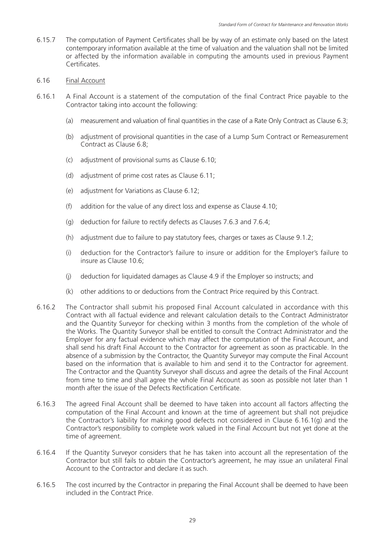6.15.7 The computation of Payment Certificates shall be by way of an estimate only based on the latest contemporary information available at the time of valuation and the valuation shall not be limited or affected by the information available in computing the amounts used in previous Payment Certificates.

### 6.16 Final Account

- 6.16.1 A Final Account is a statement of the computation of the final Contract Price payable to the Contractor taking into account the following:
	- (a) measurement and valuation of final quantities in the case of a Rate Only Contract as Clause 6.3;
	- (b) adjustment of provisional quantities in the case of a Lump Sum Contract or Remeasurement Contract as Clause 6.8;
	- (c) adjustment of provisional sums as Clause 6.10;
	- (d) adjustment of prime cost rates as Clause 6.11;
	- (e) adjustment for Variations as Clause 6.12;
	- (f) addition for the value of any direct loss and expense as Clause 4.10;
	- (g) deduction for failure to rectify defects as Clauses 7.6.3 and 7.6.4;
	- (h) adjustment due to failure to pay statutory fees, charges or taxes as Clause 9.1.2;
	- (i) deduction for the Contractor's failure to insure or addition for the Employer's failure to insure as Clause 10.6;
	- (j) deduction for liquidated damages as Clause 4.9 if the Employer so instructs; and
	- (k) other additions to or deductions from the Contract Price required by this Contract.
- 6.16.2 The Contractor shall submit his proposed Final Account calculated in accordance with this Contract with all factual evidence and relevant calculation details to the Contract Administrator and the Quantity Surveyor for checking within 3 months from the completion of the whole of the Works. The Quantity Surveyor shall be entitled to consult the Contract Administrator and the Employer for any factual evidence which may affect the computation of the Final Account, and shall send his draft Final Account to the Contractor for agreement as soon as practicable. In the absence of a submission by the Contractor, the Quantity Surveyor may compute the Final Account based on the information that is available to him and send it to the Contractor for agreement. The Contractor and the Quantity Surveyor shall discuss and agree the details of the Final Account from time to time and shall agree the whole Final Account as soon as possible not later than 1 month after the issue of the Defects Rectification Certificate.
- 6.16.3 The agreed Final Account shall be deemed to have taken into account all factors affecting the computation of the Final Account and known at the time of agreement but shall not prejudice the Contractor's liability for making good defects not considered in Clause 6.16.1(g) and the Contractor's responsibility to complete work valued in the Final Account but not yet done at the time of agreement.
- 6.16.4 If the Quantity Surveyor considers that he has taken into account all the representation of the Contractor but still fails to obtain the Contractor's agreement, he may issue an unilateral Final Account to the Contractor and declare it as such.
- 6.16.5 The cost incurred by the Contractor in preparing the Final Account shall be deemed to have been included in the Contract Price.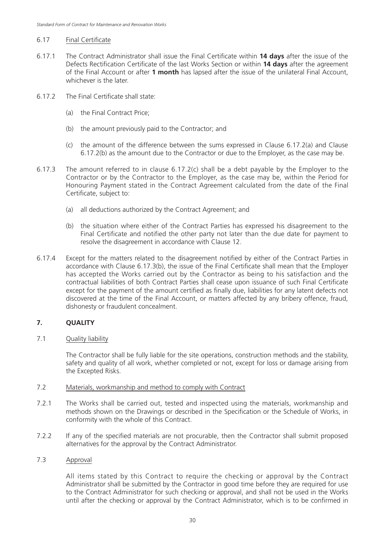### 6.17 Final Certificate

- 6.17.1 The Contract Administrator shall issue the Final Certificate within **14 days** after the issue of the Defects Rectification Certificate of the last Works Section or within **14 days** after the agreement of the Final Account or after **1 month** has lapsed after the issue of the unilateral Final Account, whichever is the later.
- 6.17.2 The Final Certificate shall state:
	- (a) the Final Contract Price;
	- (b) the amount previously paid to the Contractor; and
	- (c) the amount of the difference between the sums expressed in Clause 6.17.2(a) and Clause 6.17.2(b) as the amount due to the Contractor or due to the Employer, as the case may be.
- 6.17.3 The amount referred to in clause 6.17.2(c) shall be a debt payable by the Employer to the Contractor or by the Contractor to the Employer, as the case may be, within the Period for Honouring Payment stated in the Contract Agreement calculated from the date of the Final Certificate, subject to:
	- (a) all deductions authorized by the Contract Agreement; and
	- (b) the situation where either of the Contract Parties has expressed his disagreement to the Final Certificate and notified the other party not later than the due date for payment to resolve the disagreement in accordance with Clause 12.
- 6.17.4 Except for the matters related to the disagreement notified by either of the Contract Parties in accordance with Clause 6.17.3(b), the issue of the Final Certificate shall mean that the Employer has accepted the Works carried out by the Contractor as being to his satisfaction and the contractual liabilities of both Contract Parties shall cease upon issuance of such Final Certificate except for the payment of the amount certified as finally due, liabilities for any latent defects not discovered at the time of the Final Account, or matters affected by any bribery offence, fraud, dishonesty or fraudulent concealment.

### **7. QUALITY**

7.1 Quality liability

The Contractor shall be fully liable for the site operations, construction methods and the stability, safety and quality of all work, whether completed or not, except for loss or damage arising from the Excepted Risks.

- 7.2 Materials, workmanship and method to comply with Contract
- 7.2.1 The Works shall be carried out, tested and inspected using the materials, workmanship and methods shown on the Drawings or described in the Specification or the Schedule of Works, in conformity with the whole of this Contract.
- 7.2.2 If any of the specified materials are not procurable, then the Contractor shall submit proposed alternatives for the approval by the Contract Administrator.

### 7.3 Approval

All items stated by this Contract to require the checking or approval by the Contract Administrator shall be submitted by the Contractor in good time before they are required for use to the Contract Administrator for such checking or approval, and shall not be used in the Works until after the checking or approval by the Contract Administrator, which is to be confirmed in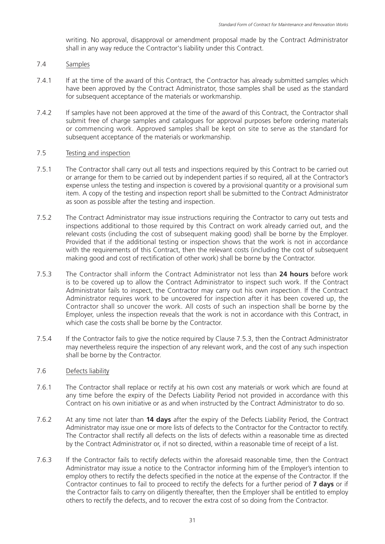writing. No approval, disapproval or amendment proposal made by the Contract Administrator shall in any way reduce the Contractor's liability under this Contract.

### 7.4 Samples

- 7.4.1 If at the time of the award of this Contract, the Contractor has already submitted samples which have been approved by the Contract Administrator, those samples shall be used as the standard for subsequent acceptance of the materials or workmanship.
- 7.4.2 If samples have not been approved at the time of the award of this Contract, the Contractor shall submit free of charge samples and catalogues for approval purposes before ordering materials or commencing work. Approved samples shall be kept on site to serve as the standard for subsequent acceptance of the materials or workmanship.

### 7.5 Testing and inspection

- 7.5.1 The Contractor shall carry out all tests and inspections required by this Contract to be carried out or arrange for them to be carried out by independent parties if so required, all at the Contractor's expense unless the testing and inspection is covered by a provisional quantity or a provisional sum item. A copy of the testing and inspection report shall be submitted to the Contract Administrator as soon as possible after the testing and inspection.
- 7.5.2 The Contract Administrator may issue instructions requiring the Contractor to carry out tests and inspections additional to those required by this Contract on work already carried out, and the relevant costs (including the cost of subsequent making good) shall be borne by the Employer. Provided that if the additional testing or inspection shows that the work is not in accordance with the requirements of this Contract, then the relevant costs (including the cost of subsequent making good and cost of rectification of other work) shall be borne by the Contractor.
- 7.5.3 The Contractor shall inform the Contract Administrator not less than **24 hours** before work is to be covered up to allow the Contract Administrator to inspect such work. If the Contract Administrator fails to inspect, the Contractor may carry out his own inspection. If the Contract Administrator requires work to be uncovered for inspection after it has been covered up, the Contractor shall so uncover the work. All costs of such an inspection shall be borne by the Employer, unless the inspection reveals that the work is not in accordance with this Contract, in which case the costs shall be borne by the Contractor.
- 7.5.4 If the Contractor fails to give the notice required by Clause 7.5.3, then the Contract Administrator may nevertheless require the inspection of any relevant work, and the cost of any such inspection shall be borne by the Contractor.

### 7.6 Defects liability

- 7.6.1 The Contractor shall replace or rectify at his own cost any materials or work which are found at any time before the expiry of the Defects Liability Period not provided in accordance with this Contract on his own initiative or as and when instructed by the Contract Administrator to do so.
- 7.6.2 At any time not later than **14 days** after the expiry of the Defects Liability Period, the Contract Administrator may issue one or more lists of defects to the Contractor for the Contractor to rectify. The Contractor shall rectify all defects on the lists of defects within a reasonable time as directed by the Contract Administrator or, if not so directed, within a reasonable time of receipt of a list.
- 7.6.3 If the Contractor fails to rectify defects within the aforesaid reasonable time, then the Contract Administrator may issue a notice to the Contractor informing him of the Employer's intention to employ others to rectify the defects specified in the notice at the expense of the Contractor. If the Contractor continues to fail to proceed to rectify the defects for a further period of **7 days** or if the Contractor fails to carry on diligently thereafter, then the Employer shall be entitled to employ others to rectify the defects, and to recover the extra cost of so doing from the Contractor.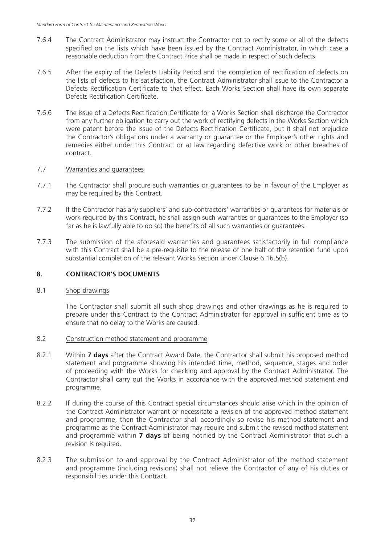- 7.6.4 The Contract Administrator may instruct the Contractor not to rectify some or all of the defects specified on the lists which have been issued by the Contract Administrator, in which case a reasonable deduction from the Contract Price shall be made in respect of such defects.
- 7.6.5 After the expiry of the Defects Liability Period and the completion of rectification of defects on the lists of defects to his satisfaction, the Contract Administrator shall issue to the Contractor a Defects Rectification Certificate to that effect. Each Works Section shall have its own separate Defects Rectification Certificate.
- 7.6.6 The issue of a Defects Rectification Certificate for a Works Section shall discharge the Contractor from any further obligation to carry out the work of rectifying defects in the Works Section which were patent before the issue of the Defects Rectification Certificate, but it shall not prejudice the Contractor's obligations under a warranty or guarantee or the Employer's other rights and remedies either under this Contract or at law regarding defective work or other breaches of contract.

### 7.7 Warranties and guarantees

- 7.7.1 The Contractor shall procure such warranties or guarantees to be in favour of the Employer as may be required by this Contract.
- 7.7.2 If the Contractor has any suppliers' and sub-contractors' warranties or guarantees for materials or work required by this Contract, he shall assign such warranties or guarantees to the Employer (so far as he is lawfully able to do so) the benefits of all such warranties or guarantees.
- 7.7.3 The submission of the aforesaid warranties and guarantees satisfactorily in full compliance with this Contract shall be a pre-requisite to the release of one half of the retention fund upon substantial completion of the relevant Works Section under Clause 6.16.5(b).

### **8. CONTRACTOR'S DOCUMENTS**

### 8.1 Shop drawings

The Contractor shall submit all such shop drawings and other drawings as he is required to prepare under this Contract to the Contract Administrator for approval in sufficient time as to ensure that no delay to the Works are caused.

- 8.2 Construction method statement and programme
- 8.2.1 Within **7 days** after the Contract Award Date, the Contractor shall submit his proposed method statement and programme showing his intended time, method, sequence, stages and order of proceeding with the Works for checking and approval by the Contract Administrator. The Contractor shall carry out the Works in accordance with the approved method statement and programme.
- 8.2.2 If during the course of this Contract special circumstances should arise which in the opinion of the Contract Administrator warrant or necessitate a revision of the approved method statement and programme, then the Contractor shall accordingly so revise his method statement and programme as the Contract Administrator may require and submit the revised method statement and programme within **7 days** of being notified by the Contract Administrator that such a revision is required.
- 8.2.3 The submission to and approval by the Contract Administrator of the method statement and programme (including revisions) shall not relieve the Contractor of any of his duties or responsibilities under this Contract.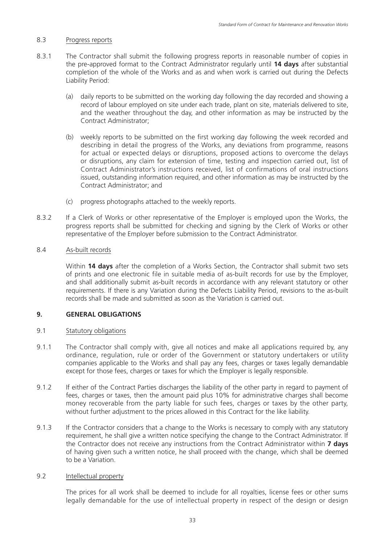### 8.3 Progress reports

- 8.3.1 The Contractor shall submit the following progress reports in reasonable number of copies in the pre-approved format to the Contract Administrator regularly until **14 days** after substantial completion of the whole of the Works and as and when work is carried out during the Defects Liability Period:
	- (a) daily reports to be submitted on the working day following the day recorded and showing a record of labour employed on site under each trade, plant on site, materials delivered to site, and the weather throughout the day, and other information as may be instructed by the Contract Administrator;
	- (b) weekly reports to be submitted on the first working day following the week recorded and describing in detail the progress of the Works, any deviations from programme, reasons for actual or expected delays or disruptions, proposed actions to overcome the delays or disruptions, any claim for extension of time, testing and inspection carried out, list of Contract Administrator's instructions received, list of confirmations of oral instructions issued, outstanding information required, and other information as may be instructed by the Contract Administrator; and
	- (c) progress photographs attached to the weekly reports.
- 8.3.2 If a Clerk of Works or other representative of the Employer is employed upon the Works, the progress reports shall be submitted for checking and signing by the Clerk of Works or other representative of the Employer before submission to the Contract Administrator.

### 8.4 As-built records

Within **14 days** after the completion of a Works Section, the Contractor shall submit two sets of prints and one electronic file in suitable media of as-built records for use by the Employer, and shall additionally submit as-built records in accordance with any relevant statutory or other requirements. If there is any Variation during the Defects Liability Period, revisions to the as-built records shall be made and submitted as soon as the Variation is carried out.

### **9. GENERAL OBLIGATIONS**

### 9.1 Statutory obligations

- 9.1.1 The Contractor shall comply with, give all notices and make all applications required by, any ordinance, regulation, rule or order of the Government or statutory undertakers or utility companies applicable to the Works and shall pay any fees, charges or taxes legally demandable except for those fees, charges or taxes for which the Employer is legally responsible.
- 9.1.2 If either of the Contract Parties discharges the liability of the other party in regard to payment of fees, charges or taxes, then the amount paid plus 10% for administrative charges shall become money recoverable from the party liable for such fees, charges or taxes by the other party, without further adjustment to the prices allowed in this Contract for the like liability.
- 9.1.3 If the Contractor considers that a change to the Works is necessary to comply with any statutory requirement, he shall give a written notice specifying the change to the Contract Administrator. If the Contractor does not receive any instructions from the Contract Administrator within **7 days** of having given such a written notice, he shall proceed with the change, which shall be deemed to be a Variation.

### 9.2 Intellectual property

The prices for all work shall be deemed to include for all royalties, license fees or other sums legally demandable for the use of intellectual property in respect of the design or design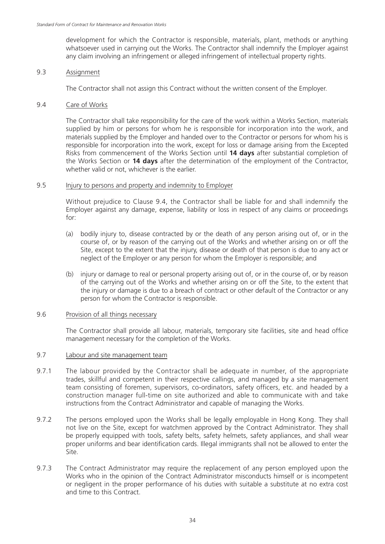development for which the Contractor is responsible, materials, plant, methods or anything whatsoever used in carrying out the Works. The Contractor shall indemnify the Employer against any claim involving an infringement or alleged infringement of intellectual property rights.

### 9.3 Assignment

The Contractor shall not assign this Contract without the written consent of the Employer.

### 9.4 Care of Works

The Contractor shall take responsibility for the care of the work within a Works Section, materials supplied by him or persons for whom he is responsible for incorporation into the work, and materials supplied by the Employer and handed over to the Contractor or persons for whom his is responsible for incorporation into the work, except for loss or damage arising from the Excepted Risks from commencement of the Works Section until **14 days** after substantial completion of the Works Section or **14 days** after the determination of the employment of the Contractor, whether valid or not, whichever is the earlier.

### 9.5 Injury to persons and property and indemnity to Employer

Without prejudice to Clause 9.4, the Contractor shall be liable for and shall indemnify the Employer against any damage, expense, liability or loss in respect of any claims or proceedings for:

- (a) bodily injury to, disease contracted by or the death of any person arising out of, or in the course of, or by reason of the carrying out of the Works and whether arising on or off the Site, except to the extent that the injury, disease or death of that person is due to any act or neglect of the Employer or any person for whom the Employer is responsible; and
- (b) injury or damage to real or personal property arising out of, or in the course of, or by reason of the carrying out of the Works and whether arising on or off the Site, to the extent that the injury or damage is due to a breach of contract or other default of the Contractor or any person for whom the Contractor is responsible.

### 9.6 Provision of all things necessary

The Contractor shall provide all labour, materials, temporary site facilities, site and head office management necessary for the completion of the Works.

### 9.7 Labour and site management team

- 9.7.1 The labour provided by the Contractor shall be adequate in number, of the appropriate trades, skillful and competent in their respective callings, and managed by a site management team consisting of foremen, supervisors, co-ordinators, safety officers, etc. and headed by a construction manager full-time on site authorized and able to communicate with and take instructions from the Contract Administrator and capable of managing the Works.
- 9.7.2 The persons employed upon the Works shall be legally employable in Hong Kong. They shall not live on the Site, except for watchmen approved by the Contract Administrator. They shall be properly equipped with tools, safety belts, safety helmets, safety appliances, and shall wear proper uniforms and bear identification cards. Illegal immigrants shall not be allowed to enter the Site.
- 9.7.3 The Contract Administrator may require the replacement of any person employed upon the Works who in the opinion of the Contract Administrator misconducts himself or is incompetent or negligent in the proper performance of his duties with suitable a substitute at no extra cost and time to this Contract.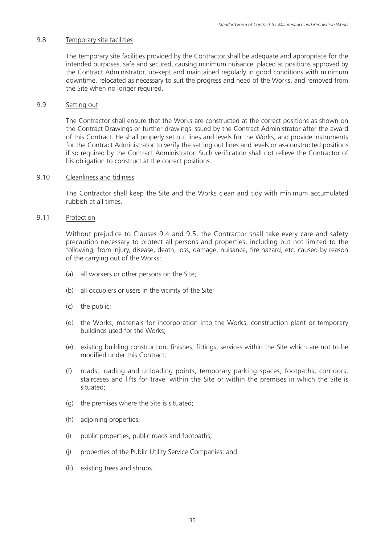### 9.8 Temporary site facilities

The temporary site facilities provided by the Contractor shall be adequate and appropriate for the intended purposes, safe and secured, causing minimum nuisance, placed at positions approved by the Contract Administrator, up-kept and maintained regularly in good conditions with minimum downtime, relocated as necessary to suit the progress and need of the Works, and removed from the Site when no longer required.

### 9.9 Setting out

The Contractor shall ensure that the Works are constructed at the correct positions as shown on the Contract Drawings or further drawings issued by the Contract Administrator after the award of this Contract. He shall properly set out lines and levels for the Works, and provide instruments for the Contract Administrator to verify the setting out lines and levels or as-constructed positions if so required by the Contract Administrator. Such verification shall not relieve the Contractor of his obligation to construct at the correct positions.

### 9.10 Cleanliness and tidiness

The Contractor shall keep the Site and the Works clean and tidy with minimum accumulated rubbish at all times.

### 9.11 Protection

Without prejudice to Clauses 9.4 and 9.5, the Contractor shall take every care and safety precaution necessary to protect all persons and properties, including but not limited to the following, from injury, disease, death, loss, damage, nuisance, fire hazard, etc. caused by reason of the carrying out of the Works:

- (a) all workers or other persons on the Site;
- (b) all occupiers or users in the vicinity of the Site;
- (c) the public;
- (d) the Works, materials for incorporation into the Works, construction plant or temporary buildings used for the Works;
- (e) existing building construction, finishes, fittings, services within the Site which are not to be modified under this Contract;
- (f) roads, loading and unloading points, temporary parking spaces, footpaths, corridors, staircases and lifts for travel within the Site or within the premises in which the Site is situated;
- (g) the premises where the Site is situated;
- (h) adjoining properties;
- (i) public properties, public roads and footpaths;
- (j) properties of the Public Utility Service Companies; and
- (k) existing trees and shrubs.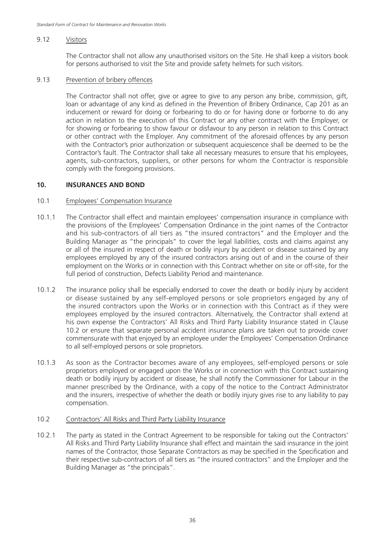### 9.12 Visitors

The Contractor shall not allow any unauthorised visitors on the Site. He shall keep a visitors book for persons authorised to visit the Site and provide safety helmets for such visitors.

#### 9.13 Prevention of bribery offences

The Contractor shall not offer, give or agree to give to any person any bribe, commission, gift, loan or advantage of any kind as defined in the Prevention of Bribery Ordinance, Cap 201 as an inducement or reward for doing or forbearing to do or for having done or forborne to do any action in relation to the execution of this Contract or any other contract with the Employer, or for showing or forbearing to show favour or disfavour to any person in relation to this Contract or other contract with the Employer. Any commitment of the aforesaid offences by any person with the Contractor's prior authorization or subsequent acquiescence shall be deemed to be the Contractor's fault. The Contractor shall take all necessary measures to ensure that his employees, agents, sub-contractors, suppliers, or other persons for whom the Contractor is responsible comply with the foregoing provisions.

### **10. INSURANCES AND BOND**

### 10.1 Employees' Compensation Insurance

- 10.1.1 The Contractor shall effect and maintain employees' compensation insurance in compliance with the provisions of the Employees' Compensation Ordinance in the joint names of the Contractor and his sub-contractors of all tiers as "the insured contractors" and the Employer and the Building Manager as "the principals" to cover the legal liabilities, costs and claims against any or all of the insured in respect of death or bodily injury by accident or disease sustained by any employees employed by any of the insured contractors arising out of and in the course of their employment on the Works or in connection with this Contract whether on site or off-site, for the full period of construction, Defects Liability Period and maintenance.
- 10.1.2 The insurance policy shall be especially endorsed to cover the death or bodily injury by accident or disease sustained by any self-employed persons or sole proprietors engaged by any of the insured contractors upon the Works or in connection with this Contract as if they were employees employed by the insured contractors. Alternatively, the Contractor shall extend at his own expense the Contractors' All Risks and Third Party Liability Insurance stated in Clause 10.2 or ensure that separate personal accident insurance plans are taken out to provide cover commensurate with that enjoyed by an employee under the Employees' Compensation Ordinance to all self-employed persons or sole proprietors.
- 10.1.3 As soon as the Contractor becomes aware of any employees, self-employed persons or sole proprietors employed or engaged upon the Works or in connection with this Contract sustaining death or bodily injury by accident or disease, he shall notify the Commissioner for Labour in the manner prescribed by the Ordinance, with a copy of the notice to the Contract Administrator and the insurers, irrespective of whether the death or bodily injury gives rise to any liability to pay compensation.

### 10.2 Contractors' All Risks and Third Party Liability Insurance

10.2.1 The party as stated in the Contract Agreement to be responsible for taking out the Contractors' All Risks and Third Party Liability Insurance shall effect and maintain the said insurance in the joint names of the Contractor, those Separate Contractors as may be specified in the Specification and their respective sub-contractors of all tiers as "the insured contractors" and the Employer and the Building Manager as "the principals".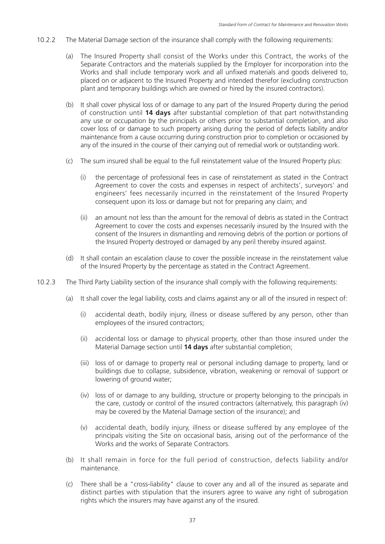- 10.2.2 The Material Damage section of the insurance shall comply with the following requirements:
	- (a) The Insured Property shall consist of the Works under this Contract, the works of the Separate Contractors and the materials supplied by the Employer for incorporation into the Works and shall include temporary work and all unfixed materials and goods delivered to, placed on or adjacent to the Insured Property and intended therefor (excluding construction plant and temporary buildings which are owned or hired by the insured contractors).
	- (b) It shall cover physical loss of or damage to any part of the Insured Property during the period of construction until **14 days** after substantial completion of that part notwithstanding any use or occupation by the principals or others prior to substantial completion, and also cover loss of or damage to such property arising during the period of defects liability and/or maintenance from a cause occurring during construction prior to completion or occasioned by any of the insured in the course of their carrying out of remedial work or outstanding work.
	- (c) The sum insured shall be equal to the full reinstatement value of the Insured Property plus:
		- (i) the percentage of professional fees in case of reinstatement as stated in the Contract Agreement to cover the costs and expenses in respect of architects', surveyors' and engineers' fees necessarily incurred in the reinstatement of the Insured Property consequent upon its loss or damage but not for preparing any claim; and
		- (ii) an amount not less than the amount for the removal of debris as stated in the Contract Agreement to cover the costs and expenses necessarily insured by the Insured with the consent of the Insurers in dismantling and removing debris of the portion or portions of the Insured Property destroyed or damaged by any peril thereby insured against.
	- (d) It shall contain an escalation clause to cover the possible increase in the reinstatement value of the Insured Property by the percentage as stated in the Contract Agreement.
- 10.2.3 The Third Party Liability section of the insurance shall comply with the following requirements:
	- (a) It shall cover the legal liability, costs and claims against any or all of the insured in respect of:
		- (i) accidental death, bodily injury, illness or disease suffered by any person, other than employees of the insured contractors;
		- (ii) accidental loss or damage to physical property, other than those insured under the Material Damage section until **14 days** after substantial completion;
		- (iii) loss of or damage to property real or personal including damage to property, land or buildings due to collapse, subsidence, vibration, weakening or removal of support or lowering of ground water;
		- (iv) loss of or damage to any building, structure or property belonging to the principals in the care, custody or control of the insured contractors (alternatively, this paragraph (iv) may be covered by the Material Damage section of the insurance); and
		- (v) accidental death, bodily injury, illness or disease suffered by any employee of the principals visiting the Site on occasional basis, arising out of the performance of the Works and the works of Separate Contractors.
	- (b) It shall remain in force for the full period of construction, defects liability and/or maintenance.
	- (c) There shall be a "cross-liability" clause to cover any and all of the insured as separate and distinct parties with stipulation that the insurers agree to waive any right of subrogation rights which the insurers may have against any of the insured.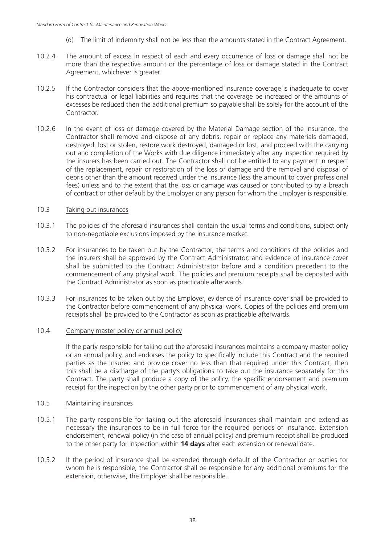- (d) The limit of indemnity shall not be less than the amounts stated in the Contract Agreement.
- 10.2.4 The amount of excess in respect of each and every occurrence of loss or damage shall not be more than the respective amount or the percentage of loss or damage stated in the Contract Agreement, whichever is greater.
- 10.2.5 If the Contractor considers that the above-mentioned insurance coverage is inadequate to cover his contractual or legal liabilities and requires that the coverage be increased or the amounts of excesses be reduced then the additional premium so payable shall be solely for the account of the **Contractor**
- 10.2.6 In the event of loss or damage covered by the Material Damage section of the insurance, the Contractor shall remove and dispose of any debris, repair or replace any materials damaged, destroyed, lost or stolen, restore work destroyed, damaged or lost, and proceed with the carrying out and completion of the Works with due diligence immediately after any inspection required by the insurers has been carried out. The Contractor shall not be entitled to any payment in respect of the replacement, repair or restoration of the loss or damage and the removal and disposal of debris other than the amount received under the insurance (less the amount to cover professional fees) unless and to the extent that the loss or damage was caused or contributed to by a breach of contract or other default by the Employer or any person for whom the Employer is responsible.

### 10.3 Taking out insurances

- 10.3.1 The policies of the aforesaid insurances shall contain the usual terms and conditions, subject only to non-negotiable exclusions imposed by the insurance market.
- 10.3.2 For insurances to be taken out by the Contractor, the terms and conditions of the policies and the insurers shall be approved by the Contract Administrator, and evidence of insurance cover shall be submitted to the Contract Administrator before and a condition precedent to the commencement of any physical work. The policies and premium receipts shall be deposited with the Contract Administrator as soon as practicable afterwards.
- 10.3.3 For insurances to be taken out by the Employer, evidence of insurance cover shall be provided to the Contractor before commencement of any physical work. Copies of the policies and premium receipts shall be provided to the Contractor as soon as practicable afterwards.

### 10.4 Company master policy or annual policy

If the party responsible for taking out the aforesaid insurances maintains a company master policy or an annual policy, and endorses the policy to specifically include this Contract and the required parties as the insured and provide cover no less than that required under this Contract, then this shall be a discharge of the party's obligations to take out the insurance separately for this Contract. The party shall produce a copy of the policy, the specific endorsement and premium receipt for the inspection by the other party prior to commencement of any physical work.

### 10.5 Maintaining insurances

- 10.5.1 The party responsible for taking out the aforesaid insurances shall maintain and extend as necessary the insurances to be in full force for the required periods of insurance. Extension endorsement, renewal policy (in the case of annual policy) and premium receipt shall be produced to the other party for inspection within **14 days** after each extension or renewal date.
- 10.5.2 If the period of insurance shall be extended through default of the Contractor or parties for whom he is responsible, the Contractor shall be responsible for any additional premiums for the extension, otherwise, the Employer shall be responsible.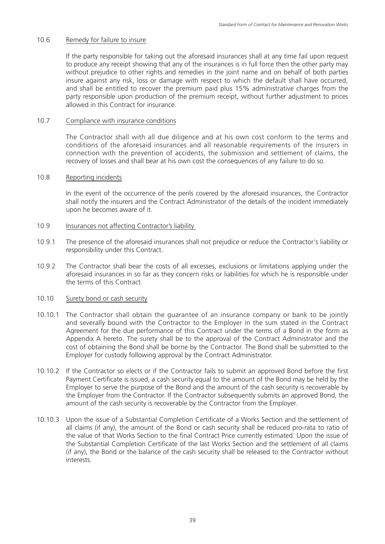### 10.6 Remedy for failure to insure

If the party responsible for taking out the aforesaid insurances shall at any time fail upon request to produce any receipt showing that any of the insurances is in full force then the other party may without prejudice to other rights and remedies in the joint name and on behalf of both parties insure against any risk, loss or damage with respect to which the default shall have occurred, and shall be entitled to recover the premium paid plus 15% administrative charges from the party responsible upon production of the premium receipt, without further adjustment to prices allowed in this Contract for insurance.

### 10.7 Compliance with insurance conditions

The Contractor shall with all due diligence and at his own cost conform to the terms and conditions of the aforesaid insurances and all reasonable requirements of the insurers in connection with the prevention of accidents, the submission and settlement of claims, the recovery of losses and shall bear at his own cost the consequences of any failure to do so.

### 10.8 Reporting incidents

In the event of the occurrence of the perils covered by the aforesaid insurances, the Contractor shall notify the insurers and the Contract Administrator of the details of the incident immediately upon he becomes aware of it.

### 10.9 Insurances not affecting Contractor's liability

- 10.9.1 The presence of the aforesaid insurances shall not prejudice or reduce the Contractor's liability or responsibility under this Contract.
- 10.9.2 The Contractor shall bear the costs of all excesses, exclusions or limitations applying under the aforesaid insurances in so far as they concern risks or liabilities for which he is responsible under the terms of this Contract.

### 10.10 Surety bond or cash security

- 10.10.1 The Contractor shall obtain the guarantee of an insurance company or bank to be jointly and severally bound with the Contractor to the Employer in the sum stated in the Contract Agreement for the due performance of this Contract under the terms of a Bond in the form as Appendix A hereto. The surety shall be to the approval of the Contract Administrator and the cost of obtaining the Bond shall be borne by the Contractor. The Bond shall be submitted to the Employer for custody following approval by the Contract Administrator.
- 10.10.2 If the Contractor so elects or if the Contractor fails to submit an approved Bond before the first Payment Certificate is issued, a cash security equal to the amount of the Bond may be held by the Employer to serve the purpose of the Bond and the amount of the cash security is recoverable by the Employer from the Contractor. If the Contractor subsequently submits an approved Bond, the amount of the cash security is recoverable by the Contractor from the Employer.
- 10.10.3 Upon the issue of a Substantial Completion Certificate of a Works Section and the settlement of all claims (if any), the amount of the Bond or cash security shall be reduced pro-rata to ratio of the value of that Works Section to the final Contract Price currently estimated. Upon the issue of the Substantial Completion Certificate of the last Works Section and the settlement of all claims (if any), the Bond or the balance of the cash security shall be released to the Contractor without interests.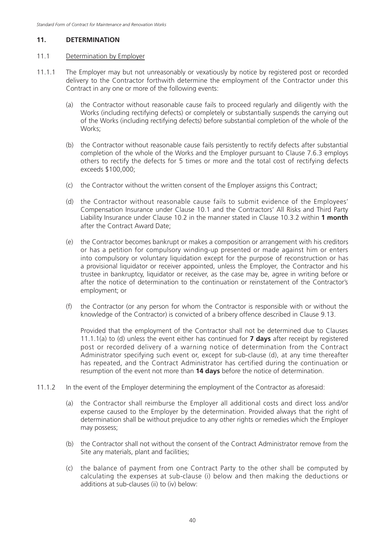### **11. DETERMINATION**

#### 11.1 Determination by Employer

- 11.1.1 The Employer may but not unreasonably or vexatiously by notice by registered post or recorded delivery to the Contractor forthwith determine the employment of the Contractor under this Contract in any one or more of the following events:
	- (a) the Contractor without reasonable cause fails to proceed regularly and diligently with the Works (including rectifying defects) or completely or substantially suspends the carrying out of the Works (including rectifying defects) before substantial completion of the whole of the Works;
	- (b) the Contractor without reasonable cause fails persistently to rectify defects after substantial completion of the whole of the Works and the Employer pursuant to Clause 7.6.3 employs others to rectify the defects for 5 times or more and the total cost of rectifying defects exceeds \$100,000;
	- (c) the Contractor without the written consent of the Employer assigns this Contract;
	- (d) the Contractor without reasonable cause fails to submit evidence of the Employees' Compensation Insurance under Clause 10.1 and the Contractors' All Risks and Third Party Liability Insurance under Clause 10.2 in the manner stated in Clause 10.3.2 within **1 month** after the Contract Award Date;
	- (e) the Contractor becomes bankrupt or makes a composition or arrangement with his creditors or has a petition for compulsory winding-up presented or made against him or enters into compulsory or voluntary liquidation except for the purpose of reconstruction or has a provisional liquidator or receiver appointed, unless the Employer, the Contractor and his trustee in bankruptcy, liquidator or receiver, as the case may be, agree in writing before or after the notice of determination to the continuation or reinstatement of the Contractor's employment; or
	- (f) the Contractor (or any person for whom the Contractor is responsible with or without the knowledge of the Contractor) is convicted of a bribery offence described in Clause 9.13.

 Provided that the employment of the Contractor shall not be determined due to Clauses 11.1.1(a) to (d) unless the event either has continued for **7 days** after receipt by registered post or recorded delivery of a warning notice of determination from the Contract Administrator specifying such event or, except for sub-clause (d), at any time thereafter has repeated, and the Contract Administrator has certified during the continuation or resumption of the event not more than **14 days** before the notice of determination.

- 11.1.2 In the event of the Employer determining the employment of the Contractor as aforesaid:
	- (a) the Contractor shall reimburse the Employer all additional costs and direct loss and/or expense caused to the Employer by the determination. Provided always that the right of determination shall be without prejudice to any other rights or remedies which the Employer may possess;
	- (b) the Contractor shall not without the consent of the Contract Administrator remove from the Site any materials, plant and facilities;
	- (c) the balance of payment from one Contract Party to the other shall be computed by calculating the expenses at sub-clause (i) below and then making the deductions or additions at sub-clauses (ii) to (iv) below: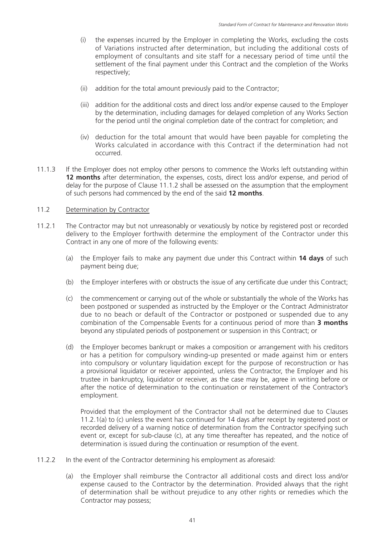- (i) the expenses incurred by the Employer in completing the Works, excluding the costs of Variations instructed after determination, but including the additional costs of employment of consultants and site staff for a necessary period of time until the settlement of the final payment under this Contract and the completion of the Works respectively;
- (ii) addition for the total amount previously paid to the Contractor;
- (iii) addition for the additional costs and direct loss and/or expense caused to the Employer by the determination, including damages for delayed completion of any Works Section for the period until the original completion date of the contract for completion; and
- (iv) deduction for the total amount that would have been payable for completing the Works calculated in accordance with this Contract if the determination had not occurred.
- 11.1.3 If the Employer does not employ other persons to commence the Works left outstanding within **12 months** after determination, the expenses, costs, direct loss and/or expense, and period of delay for the purpose of Clause 11.1.2 shall be assessed on the assumption that the employment of such persons had commenced by the end of the said **12 months**.

### 11.2 Determination by Contractor

- 11.2.1 The Contractor may but not unreasonably or vexatiously by notice by registered post or recorded delivery to the Employer forthwith determine the employment of the Contractor under this Contract in any one of more of the following events:
	- (a) the Employer fails to make any payment due under this Contract within **14 days** of such payment being due;
	- (b) the Employer interferes with or obstructs the issue of any certificate due under this Contract;
	- (c) the commencement or carrying out of the whole or substantially the whole of the Works has been postponed or suspended as instructed by the Employer or the Contract Administrator due to no beach or default of the Contractor or postponed or suspended due to any combination of the Compensable Events for a continuous period of more than **3 months** beyond any stipulated periods of postponement or suspension in this Contract; or
	- (d) the Employer becomes bankrupt or makes a composition or arrangement with his creditors or has a petition for compulsory winding-up presented or made against him or enters into compulsory or voluntary liquidation except for the purpose of reconstruction or has a provisional liquidator or receiver appointed, unless the Contractor, the Employer and his trustee in bankruptcy, liquidator or receiver, as the case may be, agree in writing before or after the notice of determination to the continuation or reinstatement of the Contractor's employment.

 Provided that the employment of the Contractor shall not be determined due to Clauses 11.2.1(a) to (c) unless the event has continued for 14 days after receipt by registered post or recorded delivery of a warning notice of determination from the Contractor specifying such event or, except for sub-clause (c), at any time thereafter has repeated, and the notice of determination is issued during the continuation or resumption of the event.

- 11.2.2 In the event of the Contractor determining his employment as aforesaid:
	- (a) the Employer shall reimburse the Contractor all additional costs and direct loss and/or expense caused to the Contractor by the determination. Provided always that the right of determination shall be without prejudice to any other rights or remedies which the Contractor may possess;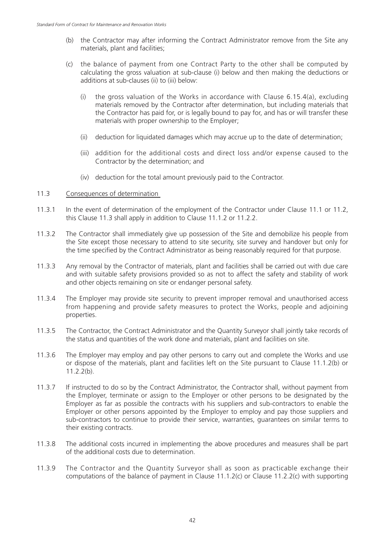- (b) the Contractor may after informing the Contract Administrator remove from the Site any materials, plant and facilities;
- (c) the balance of payment from one Contract Party to the other shall be computed by calculating the gross valuation at sub-clause (i) below and then making the deductions or additions at sub-clauses (ii) to (iii) below:
	- (i) the gross valuation of the Works in accordance with Clause  $6.15.4(a)$ , excluding materials removed by the Contractor after determination, but including materials that the Contractor has paid for, or is legally bound to pay for, and has or will transfer these materials with proper ownership to the Employer;
	- (ii) deduction for liquidated damages which may accrue up to the date of determination;
	- (iii) addition for the additional costs and direct loss and/or expense caused to the Contractor by the determination; and
	- (iv) deduction for the total amount previously paid to the Contractor.

### 11.3 Consequences of determination

- 11.3.1 In the event of determination of the employment of the Contractor under Clause 11.1 or 11.2, this Clause 11.3 shall apply in addition to Clause 11.1.2 or 11.2.2.
- 11.3.2 The Contractor shall immediately give up possession of the Site and demobilize his people from the Site except those necessary to attend to site security, site survey and handover but only for the time specified by the Contract Administrator as being reasonably required for that purpose.
- 11.3.3 Any removal by the Contractor of materials, plant and facilities shall be carried out with due care and with suitable safety provisions provided so as not to affect the safety and stability of work and other objects remaining on site or endanger personal safety.
- 11.3.4 The Employer may provide site security to prevent improper removal and unauthorised access from happening and provide safety measures to protect the Works, people and adjoining properties.
- 11.3.5 The Contractor, the Contract Administrator and the Quantity Surveyor shall jointly take records of the status and quantities of the work done and materials, plant and facilities on site.
- 11.3.6 The Employer may employ and pay other persons to carry out and complete the Works and use or dispose of the materials, plant and facilities left on the Site pursuant to Clause 11.1.2(b) or 11.2.2(b).
- 11.3.7 If instructed to do so by the Contract Administrator, the Contractor shall, without payment from the Employer, terminate or assign to the Employer or other persons to be designated by the Employer as far as possible the contracts with his suppliers and sub-contractors to enable the Employer or other persons appointed by the Employer to employ and pay those suppliers and sub-contractors to continue to provide their service, warranties, guarantees on similar terms to their existing contracts.
- 11.3.8 The additional costs incurred in implementing the above procedures and measures shall be part of the additional costs due to determination.
- 11.3.9 The Contractor and the Quantity Surveyor shall as soon as practicable exchange their computations of the balance of payment in Clause 11.1.2(c) or Clause 11.2.2(c) with supporting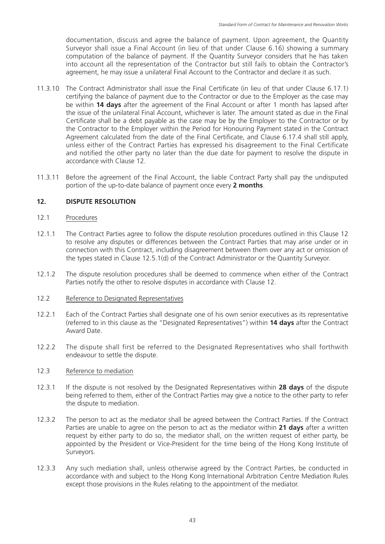documentation, discuss and agree the balance of payment. Upon agreement, the Quantity Surveyor shall issue a Final Account (in lieu of that under Clause 6.16) showing a summary computation of the balance of payment. If the Quantity Surveyor considers that he has taken into account all the representation of the Contractor but still fails to obtain the Contractor's agreement, he may issue a unilateral Final Account to the Contractor and declare it as such.

- 11.3.10 The Contract Administrator shall issue the Final Certificate (in lieu of that under Clause 6.17.1) certifying the balance of payment due to the Contractor or due to the Employer as the case may be within **14 days** after the agreement of the Final Account or after 1 month has lapsed after the issue of the unilateral Final Account, whichever is later. The amount stated as due in the Final Certificate shall be a debt payable as the case may be by the Employer to the Contractor or by the Contractor to the Employer within the Period for Honouring Payment stated in the Contract Agreement calculated from the date of the Final Certificate, and Clause 6.17.4 shall still apply, unless either of the Contract Parties has expressed his disagreement to the Final Certificate and notified the other party no later than the due date for payment to resolve the dispute in accordance with Clause 12.
- 11.3.11 Before the agreement of the Final Account, the liable Contract Party shall pay the undisputed portion of the up-to-date balance of payment once every **2 months**.

### **12. DISPUTE RESOLUTION**

### 12.1 Procedures

- 12.1.1 The Contract Parties agree to follow the dispute resolution procedures outlined in this Clause 12 to resolve any disputes or differences between the Contract Parties that may arise under or in connection with this Contract, including disagreement between them over any act or omission of the types stated in Clause 12.5.1(d) of the Contract Administrator or the Quantity Surveyor.
- 12.1.2 The dispute resolution procedures shall be deemed to commence when either of the Contract Parties notify the other to resolve disputes in accordance with Clause 12.
- 12.2 Reference to Designated Representatives
- 12.2.1 Each of the Contract Parties shall designate one of his own senior executives as its representative (referred to in this clause as the "Designated Representatives") within **14 days** after the Contract Award Date.
- 12.2.2 The dispute shall first be referred to the Designated Representatives who shall forthwith endeavour to settle the dispute.

### 12.3 Reference to mediation

- 12.3.1 If the dispute is not resolved by the Designated Representatives within **28 days** of the dispute being referred to them, either of the Contract Parties may give a notice to the other party to refer the dispute to mediation.
- 12.3.2 The person to act as the mediator shall be agreed between the Contract Parties. If the Contract Parties are unable to agree on the person to act as the mediator within **21 days** after a written request by either party to do so, the mediator shall, on the written request of either party, be appointed by the President or Vice-President for the time being of the Hong Kong Institute of Surveyors.
- 12.3.3 Any such mediation shall, unless otherwise agreed by the Contract Parties, be conducted in accordance with and subject to the Hong Kong International Arbitration Centre Mediation Rules except those provisions in the Rules relating to the appointment of the mediator.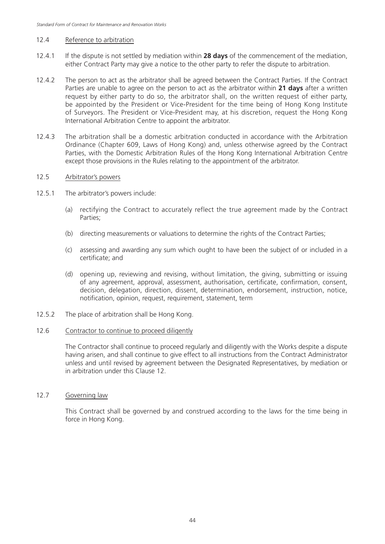#### 12.4 Reference to arbitration

- 12.4.1 If the dispute is not settled by mediation within **28 days** of the commencement of the mediation, either Contract Party may give a notice to the other party to refer the dispute to arbitration.
- 12.4.2 The person to act as the arbitrator shall be agreed between the Contract Parties. If the Contract Parties are unable to agree on the person to act as the arbitrator within **21 days** after a written request by either party to do so, the arbitrator shall, on the written request of either party, be appointed by the President or Vice-President for the time being of Hong Kong Institute of Surveyors. The President or Vice-President may, at his discretion, request the Hong Kong International Arbitration Centre to appoint the arbitrator.
- 12.4.3 The arbitration shall be a domestic arbitration conducted in accordance with the Arbitration Ordinance (Chapter 609, Laws of Hong Kong) and, unless otherwise agreed by the Contract Parties, with the Domestic Arbitration Rules of the Hong Kong International Arbitration Centre except those provisions in the Rules relating to the appointment of the arbitrator.

#### 12.5 Arbitrator's powers

- 12.5.1 The arbitrator's powers include:
	- (a) rectifying the Contract to accurately reflect the true agreement made by the Contract Parties;
	- (b) directing measurements or valuations to determine the rights of the Contract Parties;
	- (c) assessing and awarding any sum which ought to have been the subject of or included in a certificate; and
	- (d) opening up, reviewing and revising, without limitation, the giving, submitting or issuing of any agreement, approval, assessment, authorisation, certificate, confirmation, consent, decision, delegation, direction, dissent, determination, endorsement, instruction, notice, notification, opinion, request, requirement, statement, term
- 12.5.2 The place of arbitration shall be Hong Kong.

#### 12.6 Contractor to continue to proceed diligently

The Contractor shall continue to proceed regularly and diligently with the Works despite a dispute having arisen, and shall continue to give effect to all instructions from the Contract Administrator unless and until revised by agreement between the Designated Representatives, by mediation or in arbitration under this Clause 12.

### 12.7 Governing law

This Contract shall be governed by and construed according to the laws for the time being in force in Hong Kong.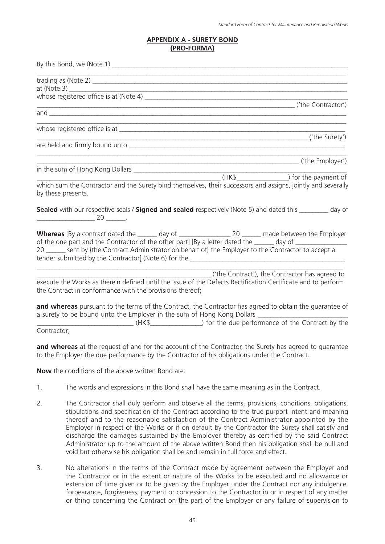### **APPENDIX A - SURETY BOND (PRO-FORMA)**

|    | <u> 1989 - Johann Barbara, markazar margolaria (h. 1989).</u>                                                                                                                                                                                                                                                                     |
|----|-----------------------------------------------------------------------------------------------------------------------------------------------------------------------------------------------------------------------------------------------------------------------------------------------------------------------------------|
|    | $\left(\text{Note } 3\right)$                                                                                                                                                                                                                                                                                                     |
|    |                                                                                                                                                                                                                                                                                                                                   |
|    | ('the Contractor')                                                                                                                                                                                                                                                                                                                |
|    |                                                                                                                                                                                                                                                                                                                                   |
|    | $\sqrt{ }$ (the Surety')                                                                                                                                                                                                                                                                                                          |
|    |                                                                                                                                                                                                                                                                                                                                   |
|    |                                                                                                                                                                                                                                                                                                                                   |
|    |                                                                                                                                                                                                                                                                                                                                   |
|    | which sum the Contractor and the Surety bind themselves, their successors and assigns, jointly and severally<br>by these presents.                                                                                                                                                                                                |
|    | Sealed with our respective seals / Signed and sealed respectively (Note 5) and dated this ________ day of<br>$\begin{array}{c} \begin{array}{c} \begin{array}{c} \end{array} \\ \begin{array}{c} \end{array} \end{array} \end{array}$                                                                                             |
|    | Whereas [By a contract dated the _______ day of _________________________________ made between the Employer<br>of the one part and the Contractor of the other part] [By a letter dated the ______ day of ______________<br>20 _____ sent by {the Contract Administrator on behalf of} the Employer to the Contractor to accept a |
|    | (the Contract'), the Contractor has agreed to                                                                                                                                                                                                                                                                                     |
|    | execute the Works as therein defined until the issue of the Defects Rectification Certificate and to perform<br>the Contract in conformance with the provisions thereof;                                                                                                                                                          |
|    | and whereas pursuant to the terms of the Contract, the Contractor has agreed to obtain the guarantee of<br>a surety to be bound unto the Employer in the sum of Hong Kong Dollars _____________________________                                                                                                                   |
|    | Contractor;                                                                                                                                                                                                                                                                                                                       |
|    | and whereas at the request of and for the account of the Contractor, the Surety has agreed to guarantee<br>to the Employer the due performance by the Contractor of his obligations under the Contract.                                                                                                                           |
|    | <b>Now</b> the conditions of the above written Bond are:                                                                                                                                                                                                                                                                          |
| 1. | The words and expressions in this Bond shall have the same meaning as in the Contract.                                                                                                                                                                                                                                            |
| 2. | The Contractor shall duly perform and observe all the terms, provisions, conditions, obligations,<br>stipulations and specification of the Contract according to the true purport intent and meaning                                                                                                                              |

- stipulations and specification of the Contract according to the true purport intent and meaning thereof and to the reasonable satisfaction of the Contract Administrator appointed by the Employer in respect of the Works or if on default by the Contractor the Surety shall satisfy and discharge the damages sustained by the Employer thereby as certified by the said Contract Administrator up to the amount of the above written Bond then his obligation shall be null and void but otherwise his obligation shall be and remain in full force and effect.
- 3. No alterations in the terms of the Contract made by agreement between the Employer and the Contractor or in the extent or nature of the Works to be executed and no allowance or extension of time given or to be given by the Employer under the Contract nor any indulgence, forbearance, forgiveness, payment or concession to the Contractor in or in respect of any matter or thing concerning the Contract on the part of the Employer or any failure of supervision to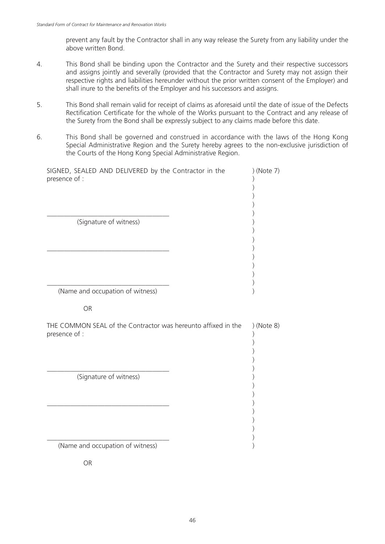prevent any fault by the Contractor shall in any way release the Surety from any liability under the above written Bond.

- 4. This Bond shall be binding upon the Contractor and the Surety and their respective successors and assigns jointly and severally (provided that the Contractor and Surety may not assign their respective rights and liabilities hereunder without the prior written consent of the Employer) and shall inure to the benefits of the Employer and his successors and assigns.
- 5. This Bond shall remain valid for receipt of claims as aforesaid until the date of issue of the Defects Rectification Certificate for the whole of the Works pursuant to the Contract and any release of the Surety from the Bond shall be expressly subject to any claims made before this date.
- 6. This Bond shall be governed and construed in accordance with the laws of the Hong Kong Special Administrative Region and the Surety hereby agrees to the non-exclusive jurisdiction of the Courts of the Hong Kong Special Administrative Region.

| SIGNED, SEALED AND DELIVERED by the Contractor in the<br>presence of :         | ) (Note 7) |  |
|--------------------------------------------------------------------------------|------------|--|
|                                                                                |            |  |
| (Signature of witness)                                                         |            |  |
|                                                                                |            |  |
|                                                                                |            |  |
|                                                                                |            |  |
|                                                                                |            |  |
| (Name and occupation of witness)                                               |            |  |
| <b>OR</b>                                                                      |            |  |
| THE COMMON SEAL of the Contractor was hereunto affixed in the<br>presence of : | ) (Note 8) |  |
|                                                                                |            |  |
|                                                                                |            |  |
|                                                                                |            |  |
| (Signature of witness)                                                         |            |  |
|                                                                                |            |  |
|                                                                                |            |  |
|                                                                                |            |  |
|                                                                                |            |  |
|                                                                                |            |  |

OR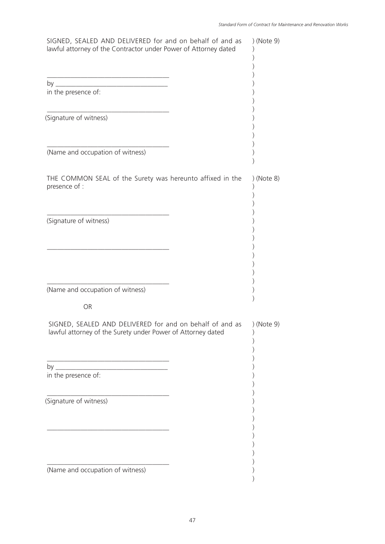| SIGNED, SEALED AND DELIVERED for and on behalf of and as<br>lawful attorney of the Contractor under Power of Attorney dated | ) (Note 9) |
|-----------------------------------------------------------------------------------------------------------------------------|------------|
|                                                                                                                             |            |
|                                                                                                                             |            |
| in the presence of:                                                                                                         |            |
| (Signature of witness)                                                                                                      |            |
| (Name and occupation of witness)                                                                                            |            |
| THE COMMON SEAL of the Surety was hereunto affixed in the<br>presence of :                                                  | ) (Note 8) |
| (Signature of witness)                                                                                                      |            |
|                                                                                                                             |            |
| (Name and occupation of witness)                                                                                            |            |
| <b>OR</b>                                                                                                                   |            |
| SIGNED, SEALED AND DELIVERED for and on behalf of and as<br>lawful attorney of the Surety under Power of Attorney dated     | ) (Note 9) |
|                                                                                                                             |            |
| in the presence of:                                                                                                         |            |
| (Signature of witness)                                                                                                      |            |
|                                                                                                                             |            |
|                                                                                                                             |            |
| (Name and occupation of witness)                                                                                            |            |